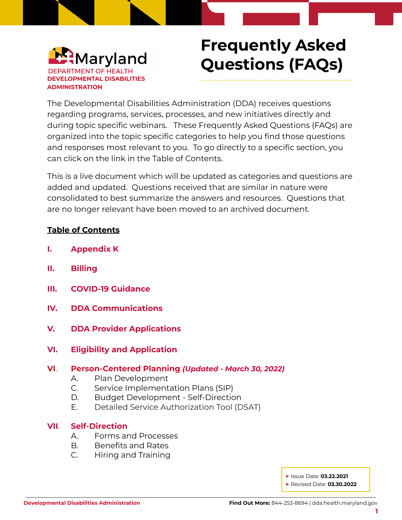

# **Frequently Asked Questions (FAQs)**

\_\_\_\_\_\_\_\_\_\_\_\_\_\_\_\_\_\_\_\_\_\_\_\_\_\_\_\_\_\_\_\_\_\_\_\_\_\_\_\_\_\_\_\_\_\_

The Developmental Disabilities Administration (DDA) receives questions regarding programs, services, processes, and new initiatives directly and during topic specific webinars. These Frequently Asked Questions (FAQs) are organized into the topic specific categories to help you find those questions and responses most relevant to you. To go directly to a specific section, you can click on the link in the Table of Contents.

This is a live document which will be updated as categories and questions are added and updated. Questions received that are similar in nature were consolidated to best summarize the answers and resources. Questions that are no longer relevant have been moved to an archived document.

## **Table of Contents**

- **I. [Appendix](#page-1-0) K**
- **II. [Billing](#page-5-0)**
- **III. COVID-19 [Guidance](#page-8-0)**
- **IV. DDA [Communications](#page-9-0)**
- **V. DDA Provider [Applications](#page-10-0)**
- **VI. Eligibility and [Application](#page-10-1)**
- **VI**. **[Person-Centered](#page-11-0) Planning** *(Updated - March 30, 2022)*
	- A. Plan [Development](#page-11-1)
	- C. Service [Implementation](#page-24-0) Plans (SIP)
	- D. Budget [Development](#page-27-0) Self-Direction
	- E. Detailed Service [Authorization](#page-31-0) Tool (DSAT)

#### **VII**. **[Self-Direction](#page-33-0)**

- A. Forms and [Processes](#page-33-1)
- B. [Benefits](#page-37-0) and Rates
- C. Hiring and [Training](#page-40-0)

**▶** Issue Date: **03.22.2021**

**▶** Revised Date: **03.30.2022**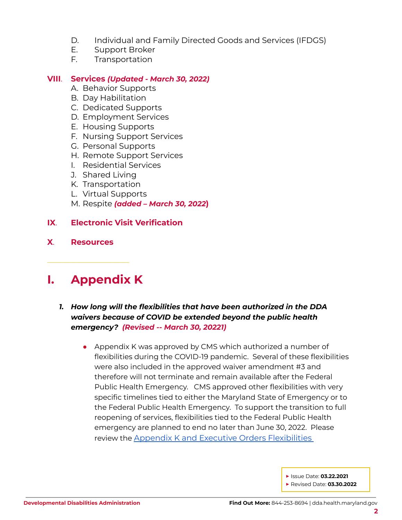- D. [Individual](#page-43-0) and Family Directed Goods and Services (IFDGS)
- E. [Support](#page-44-0) Broker
- F. [Transportation](#page-46-0)

#### **VIII**. **[Services](#page-47-0)** *(Updated - March 30, 2022)*

- A. Behavior [Supports](#page-47-1)
- B. Day [Habilitation](#page-48-0)
- C. [Dedicated](#page-49-0) Supports
- D. [Employment](#page-50-0) Services
- E. Housing [Supports](#page-51-0)
- F. Nursing [Support](#page-52-0) Services
- G. Personal [Supports](#page-55-0)
- H. Remote [Support](#page-56-0) Services
- I. [Residential](#page-57-0) Services
- J. [Shared](#page-58-0) Living
- K. [Transportation](#page-58-1)
- L. Virtual [Supports](#page-59-0)
- M. Respite *(added – March 30, 2022***)**

## **IX**. **Electronic Visit [Verification](#page-61-0)**

**X**. **[Resources](#page-62-0)**

## <span id="page-1-0"></span>**I. Appendix K**

\_\_\_\_\_\_\_\_\_\_\_\_\_\_\_\_\_\_\_\_\_\_\_\_\_

#### *1. How long will the flexibilities that have been authorized in the DDA waivers because of COVID be extended beyond the public health emergency? (Revised -- March 30, 20221)*

• Appendix K was approved by CMS which authorized a number of flexibilities during the COVID-19 pandemic. Several of these flexibilities were also included in the approved waiver amendment #3 and therefore will not terminate and remain available after the Federal Public Health Emergency. CMS approved other flexibilities with very specific timelines tied to either the Maryland State of Emergency or to the Federal Public Health Emergency. To support the transition to full reopening of services, flexibilities tied to the Federal Public Health emergency are planned to end no later than June 30, 2022. Please review the Appendix K and Executive Orders [Flexibilities](https://health.maryland.gov/dda/Pages/DDA_Appendix_K.aspx)

**▶** Issue Date: **03.22.2021**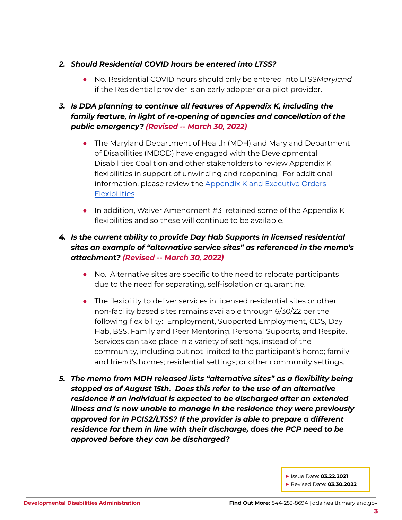#### *2. Should Residential COVID hours be entered into LTSS?*

● No. Residential COVID hours should only be entered into LTSS*Maryland* if the Residential provider is an early adopter or a pilot provider.

## *3. Is DDA planning to continue all features of Appendix K, including the family feature, in light of re-opening of agencies and cancellation of the public emergency? (Revised -- March 30, 2022)*

- The Maryland Department of Health (MDH) and Maryland Department of Disabilities (MDOD) have engaged with the Developmental Disabilities Coalition and other stakeholders to review Appendix K flexibilities in support of unwinding and reopening. For additional information, please review the Appendix K and [Executive](https://health.maryland.gov/dda/Pages/DDA_Appendix_K.aspx) Orders **[Flexibilities](https://health.maryland.gov/dda/Pages/DDA_Appendix_K.aspx)**
- In addition, Waiver Amendment #3 retained some of the Appendix K flexibilities and so these will continue to be available.

## *4. Is the current ability to provide Day Hab Supports in licensed residential sites an example of "alternative service sites" as referenced in the memo's attachment? (Revised -- March 30, 2022)*

- No. Alternative sites are specific to the need to relocate participants due to the need for separating, self-isolation or quarantine.
- The flexibility to deliver services in licensed residential sites or other non-facility based sites remains available through 6/30/22 per the following flexibility: Employment, Supported Employment, CDS, Day Hab, BSS, Family and Peer Mentoring, Personal Supports, and Respite. Services can take place in a variety of settings, instead of the community, including but not limited to the participant's home; family and friend's homes; residential settings; or other community settings.
- *5. The memo from MDH released lists "alternative sites" as a flexibility being stopped as of August 15th. Does this refer to the use of an alternative residence if an individual is expected to be discharged after an extended illness and is now unable to manage in the residence they were previously approved for in PCIS2/LTSS? If the provider is able to prepare a different residence for them in line with their discharge, does the PCP need to be approved before they can be discharged?*

**▶** Issue Date: **03.22.2021**

**▶** Revised Date: **03.30.2022**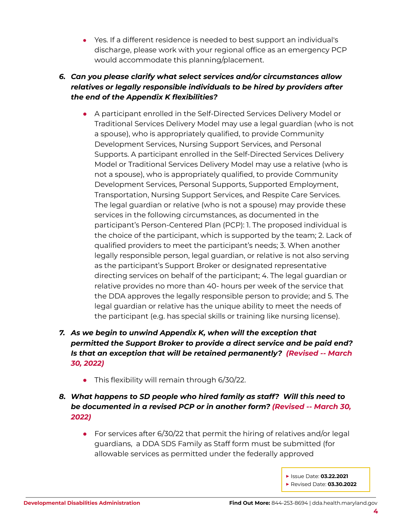● Yes. If a different residence is needed to best support an individual's discharge, please work with your regional office as an emergency PCP would accommodate this planning/placement.

## *6. Can you please clarify what select services and/or circumstances allow relatives or legally responsible individuals to be hired by providers after the end of the Appendix K flexibilities?*

- A participant enrolled in the Self-Directed Services Delivery Model or Traditional Services Delivery Model may use a legal guardian (who is not a spouse), who is appropriately qualified, to provide Community Development Services, Nursing Support Services, and Personal Supports. A participant enrolled in the Self-Directed Services Delivery Model or Traditional Services Delivery Model may use a relative (who is not a spouse), who is appropriately qualified, to provide Community Development Services, Personal Supports, Supported Employment, Transportation, Nursing Support Services, and Respite Care Services. The legal guardian or relative (who is not a spouse) may provide these services in the following circumstances, as documented in the participant's Person-Centered Plan (PCP): 1. The proposed individual is the choice of the participant, which is supported by the team; 2. Lack of qualified providers to meet the participant's needs; 3. When another legally responsible person, legal guardian, or relative is not also serving as the participant's Support Broker or designated representative directing services on behalf of the participant; 4. The legal guardian or relative provides no more than 40- hours per week of the service that the DDA approves the legally responsible person to provide; and 5. The legal guardian or relative has the unique ability to meet the needs of the participant (e.g. has special skills or training like nursing license).
- *7. As we begin to unwind Appendix K, when will the exception that permitted the Support Broker to provide a direct service and be paid end? Is that an exception that will be retained permanently? (Revised -- March 30, 2022)*
	- This flexibility will remain through 6/30/22.
- *8. What happens to SD people who hired family as staff? Will this need to be documented in a revised PCP or in another form? (Revised -- March 30, 2022)*
	- For services after 6/30/22 that permit the hiring of relatives and/or legal guardians, a DDA SDS Family as Staff form must be submitted (for allowable services as permitted under the federally approved

**▶** Issue Date: **03.22.2021 ▶** Revised Date: **03.30.2022**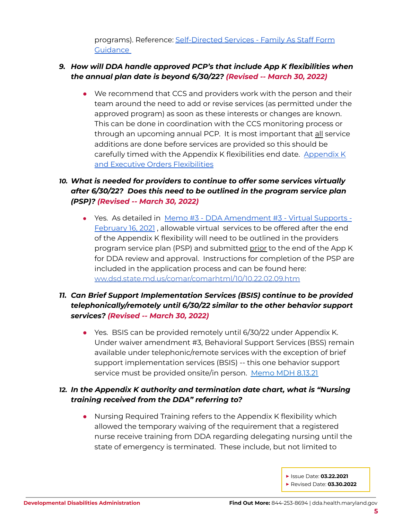programs). Reference: [Self-Directed](https://health.maryland.gov/dda/Pages/sdforms.aspx) Services - Family As Staff Form **[Guidance](https://health.maryland.gov/dda/Pages/sdforms.aspx)** 

#### *9. How will DDA handle approved PCP's that include App K flexibilities when the annual plan date is beyond 6/30/22? (Revised -- March 30, 2022)*

● We recommend that CCS and providers work with the person and their team around the need to add or revise services (as permitted under the approved program) as soon as these interests or changes are known. This can be done in coordination with the CCS monitoring process or through an upcoming annual PCP. It is most important that all service additions are done before services are provided so this should be carefully timed with the Appendix K flexibilities end date. [Appendix](https://health.maryland.gov/dda/Pages/DDA_Appendix_K.aspx) K and Executive Orders [Flexibilities](https://health.maryland.gov/dda/Pages/DDA_Appendix_K.aspx)

## *10. What is needed for providers to continue to offer some services virtually after 6/30/22? Does this need to be outlined in the program service plan (PSP)? (Revised -- March 30, 2022)*

● Yes. As detailed in Memo #3 - DDA [Amendment](https://health.maryland.gov/dda/Documents/Waiver%20Documents/DDA%20Amendment%203%20-%202020%20Memo%20Guidance/Memo%203%20-%20DDA%20Amendment%203%20-%20Virtual%20Supports%20Final%20Feb%2016,%202021.pdf) #3 - Virtual Supports -[February](https://health.maryland.gov/dda/Documents/Waiver%20Documents/DDA%20Amendment%203%20-%202020%20Memo%20Guidance/Memo%203%20-%20DDA%20Amendment%203%20-%20Virtual%20Supports%20Final%20Feb%2016,%202021.pdf) 16, 2021 , allowable virtual services to be offered after the end of the Appendix K flexibility will need to be outlined in the providers program service plan (PSP) and submitted prior to the end of the App K for DDA review and approval. Instructions for completion of the PSP are included in the application process and can be found here: [ww.dsd.state.md.us/comar/comarhtml/10/10.22.02.09.htm](http://www.dsd.state.md.us/comar/comarhtml/10/10.22.02.09.htm)

## *11. Can Brief Support Implementation Services (BSIS) continue to be provided telephonically/remotely until 6/30/22 similar to the other behavior support services? (Revised -- March 30, 2022)*

● Yes. BSIS can be provided remotely until 6/30/22 under Appendix K. Under waiver amendment #3, Behavioral Support Services (BSS) remain available under telephonic/remote services with the exception of brief support implementation services (BSIS) -- this one behavior support service must be provided onsite/in person. [Memo](https://files.constantcontact.com/f401fd14401/dcc34ea8-0038-433d-a4c4-139e9c82d577.pdf) MDH 8.13.21

## *12. In the Appendix K authority and termination date chart, what is "Nursing training received from the DDA" referring to?*

● Nursing Required Training refers to the Appendix K flexibility which allowed the temporary waiving of the requirement that a registered nurse receive training from DDA regarding delegating nursing until the state of emergency is terminated. These include, but not limited to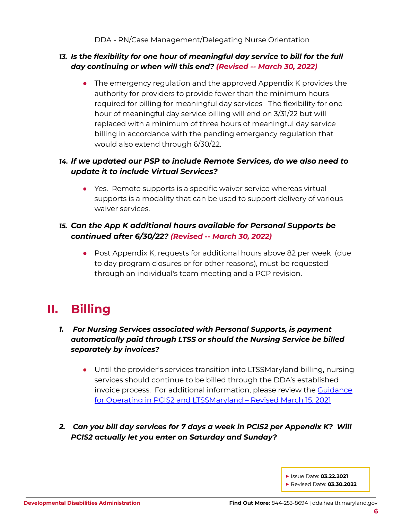#### *13. Is the flexibility for one hour of meaningful day service to bill for the full day continuing or when will this end? (Revised -- March 30, 2022)*

• The emergency regulation and the approved Appendix K provides the authority for providers to provide fewer than the minimum hours required for billing for meaningful day services The flexibility for one hour of meaningful day service billing will end on 3/31/22 but will replaced with a minimum of three hours of meaningful day service billing in accordance with the pending emergency regulation that would also extend through 6/30/22.

## *14. If we updated our PSP to include Remote Services, do we also need to update it to include Virtual Services?*

● Yes. Remote supports is a specific waiver service whereas virtual supports is a modality that can be used to support delivery of various waiver services.

## *15. Can the App K additional hours available for Personal Supports be continued after 6/30/22? (Revised -- March 30, 2022)*

• Post Appendix K, requests for additional hours above 82 per week (due to day program closures or for other reasons), must be requested through an individual's team meeting and a PCP revision.

## <span id="page-5-0"></span>**II. Billing**

\_\_\_\_\_\_\_\_\_\_\_\_\_\_\_\_\_\_\_\_\_\_\_\_\_

## *1. For Nursing Services associated with Personal Supports, is payment automatically paid through LTSS or should the Nursing Service be billed separately by invoices?*

- Until the provider's services transition into LTSSMaryland billing, nursing services should continue to be billed through the DDA's established invoice process. For additional information, please review the [Guidance](https://dda.health.maryland.gov/Documents/Transformation/At%20a%20Glance%20Documents/3.15.21/GuidanceForTheJuly1-2020Transition-Revised%20March%2015,%202021.pdf) for Operating in PCIS2 and [LTSSMaryland](https://dda.health.maryland.gov/Documents/Transformation/At%20a%20Glance%20Documents/3.15.21/GuidanceForTheJuly1-2020Transition-Revised%20March%2015,%202021.pdf) – Revised March 15, 2021
- *2. Can you bill day services for 7 days a week in PCIS2 per Appendix K? Will PCIS2 actually let you enter on Saturday and Sunday?*

**▶** Issue Date: **03.22.2021 ▶** Revised Date: **03.30.2022**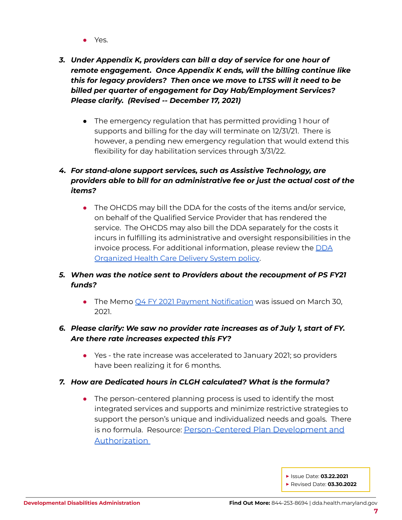- Yes.
- *3. Under Appendix K, providers can bill a day of service for one hour of remote engagement. Once Appendix K ends, will the billing continue like this for legacy providers? Then once we move to LTSS will it need to be billed per quarter of engagement for Day Hab/Employment Services? Please clarify. (Revised -- December 17, 2021)*
	- The emergency regulation that has permitted providing 1 hour of supports and billing for the day will terminate on 12/31/21. There is however, a pending new emergency regulation that would extend this flexibility for day habilitation services through 3/31/22.

## *4. For stand-alone support services, such as Assistive Technology, are providers able to bill for an administrative fee or just the actual cost of the items?*

• The OHCDS may bill the DDA for the costs of the items and/or service, on behalf of the Qualified Service Provider that has rendered the service. The OHCDS may also bill the DDA separately for the costs it incurs in fulfilling its administrative and oversight responsibilities in the invoice process. For additional information, please review the [DDA](https://dhmh.policystat.com/?lt=FGOOt-k9bPID7nabPPUk8c&next=%2Fpolicy%2F9005272%2Flatest%2F) [Organized](https://dhmh.policystat.com/?lt=FGOOt-k9bPID7nabPPUk8c&next=%2Fpolicy%2F9005272%2Flatest%2F) Health Care Delivery System policy.

## *5. When was the notice sent to Providers about the recoupment of PS FY21 funds?*

• The Memo Q4 FY 2021 Payment [Notification](https://health.maryland.gov/dda/Documents/EVV/3.31.21/Personal%20Supports%20-%20Q4%20FY%202021%20Payment%20Notification%20March%2030%202021.pdf) was issued on March 30, 2021.

## *6. Please clarify: We saw no provider rate increases as of July 1, start of FY. Are there rate increases expected this FY?*

● Yes - the rate increase was accelerated to January 2021; so providers have been realizing it for 6 months.

#### *7. How are Dedicated hours in CLGH calculated? What is the formula?*

• The person-centered planning process is used to identify the most integrated services and supports and minimize restrictive strategies to support the person's unique and individualized needs and goals. There is no formula. Resource: [Person-Centered](https://health.maryland.gov/dda/Pages/Person-Centered_Planning.aspx) Plan Development and [Authorization](https://health.maryland.gov/dda/Pages/Person-Centered_Planning.aspx)

**▶** Issue Date: **03.22.2021**

**▶** Revised Date: **03.30.2022**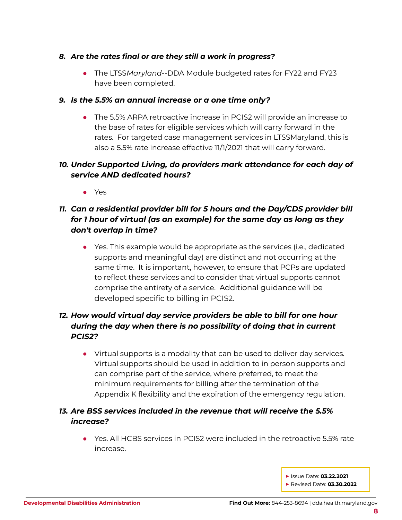#### *8. Are the rates final or are they still a work in progress?*

*●* The LTSS*Maryland*--DDA Module budgeted rates for FY22 and FY23 have been completed.

#### *9. Is the 5.5% an annual increase or a one time only?*

● The 5.5% ARPA retroactive increase in PCIS2 will provide an increase to the base of rates for eligible services which will carry forward in the rates. For targeted case management services in LTSSMaryland, this is also a 5.5% rate increase effective 11/1/2021 that will carry forward.

## *10. Under Supported Living, do providers mark attendance for each day of service AND dedicated hours?*

● Yes

## *11. Can a residential provider bill for 5 hours and the Day/CDS provider bill for 1 hour of virtual (as an example) for the same day as long as they don't overlap in time?*

● Yes. This example would be appropriate as the services (i.e., dedicated supports and meaningful day) are distinct and not occurring at the same time. It is important, however, to ensure that PCPs are updated to reflect these services and to consider that virtual supports cannot comprise the entirety of a service. Additional guidance will be developed specific to billing in PCIS2.

## *12. How would virtual day service providers be able to bill for one hour during the day when there is no possibility of doing that in current PCIS2?*

● Virtual supports is a modality that can be used to deliver day services. Virtual supports should be used in addition to in person supports and can comprise part of the service, where preferred, to meet the minimum requirements for billing after the termination of the Appendix K flexibility and the expiration of the emergency regulation.

## *13. Are BSS services included in the revenue that will receive the 5.5% increase?*

● Yes. All HCBS services in PCIS2 were included in the retroactive 5.5% rate increase.

**▶** Issue Date: **03.22.2021 ▶** Revised Date: **03.30.2022**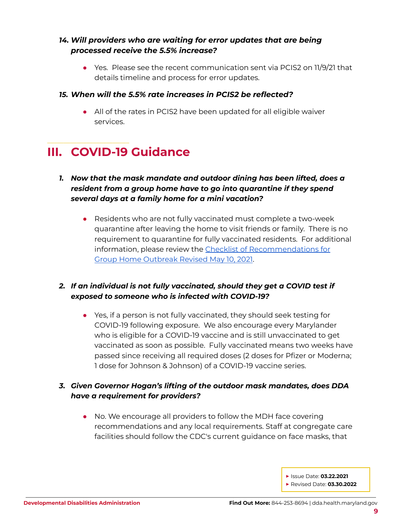## *14. Will providers who are waiting for error updates that are being processed receive the 5.5% increase?*

● Yes. Please see the recent communication sent via PCIS2 on 11/9/21 that details timeline and process for error updates.

#### *15. When will the 5.5% rate increases in PCIS2 be reflected?*

*●* All of the rates in PCIS2 have been updated for all eligible waiver services.

## <span id="page-8-0"></span>\_\_\_\_\_\_\_\_\_\_\_\_\_\_\_\_\_\_\_\_\_\_\_\_\_ **III. COVID-19 Guidance**

- *1. Now that the mask mandate and outdoor dining has been lifted, does a resident from a group home have to go into quarantine if they spend several days at a family home for a mini vacation?*
	- Residents who are not fully vaccinated must complete a two-week quarantine after leaving the home to visit friends or family. There is no requirement to quarantine for fully vaccinated residents. For additional information, please review the Checklist of [Recommendations](https://dda.health.maryland.gov/Documents/COVID%2019%20Documents/Memos%20Guidance/5.13.21/Checklist%20of%20Recommendations%20for%20Group%20Home%20Outbreak%20Published%202021.5.12.pdf) for Group Home [Outbreak](https://dda.health.maryland.gov/Documents/COVID%2019%20Documents/Memos%20Guidance/5.13.21/Checklist%20of%20Recommendations%20for%20Group%20Home%20Outbreak%20Published%202021.5.12.pdf) Revised May 10, 2021.

## *2. If an individual is not fully vaccinated, should they get a COVID test if exposed to someone who is infected with COVID-19?*

● Yes, if a person is not fully vaccinated, they should seek testing for COVID-19 following exposure. We also encourage every Marylander who is eligible for a COVID-19 vaccine and is still unvaccinated to get vaccinated as soon as possible. Fully vaccinated means two weeks have passed since receiving all required doses (2 doses for Pfizer or Moderna; 1 dose for Johnson & Johnson) of a COVID-19 vaccine series.

## *3. Given Governor Hogan's lifting of the outdoor mask mandates, does DDA have a requirement for providers?*

● No. We encourage all providers to follow the MDH face [covering](https://health.maryland.gov/phpa/Documents/06.30.2021%20MDH%20-%20Notice%20-%20Face%20Covering%20Recommendations.pdf) [recommendations](https://health.maryland.gov/phpa/Documents/06.30.2021%20MDH%20-%20Notice%20-%20Face%20Covering%20Recommendations.pdf) and any local requirements. Staff at congregate care facilities should follow the CDC's current [guidance](https://www.cdc.gov/coronavirus/2019-ncov/community/shared-congregate-house/guidance-shared-congregate-housing.html) on face masks, that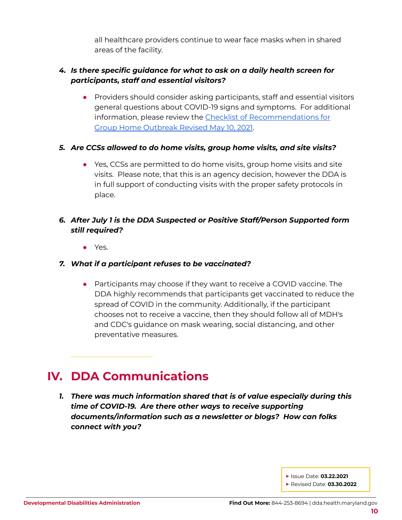all healthcare providers continue to wear face masks when in shared areas of the facility.

## *4. Is there specific guidance for what to ask on a daily health screen for participants, staff and essential visitors?*

● Providers should consider asking participants, staff and essential visitors general questions about COVID-19 signs and symptoms. For additional information, please review the Checklist of [Recommendations](https://dda.health.maryland.gov/Documents/COVID%2019%20Documents/Memos%20Guidance/5.13.21/Checklist%20of%20Recommendations%20for%20Group%20Home%20Outbreak%20Published%202021.5.12.pdf) for Group Home [Outbreak](https://dda.health.maryland.gov/Documents/COVID%2019%20Documents/Memos%20Guidance/5.13.21/Checklist%20of%20Recommendations%20for%20Group%20Home%20Outbreak%20Published%202021.5.12.pdf) Revised May 10, 2021.

## *5. Are CCSs allowed to do home visits, group home visits, and site visits?*

● Yes, CCSs are permitted to do home visits, group home visits and site visits. Please note, that this is an agency decision, however the DDA is in full support of conducting visits with the proper safety protocols in place.

## *6. After July 1 is the DDA Suspected or Positive Staff/Person Supported form still required?*

● Yes.

## *7. What if a participant refuses to be vaccinated?*

• Participants may choose if they want to receive a COVID vaccine. The DDA highly recommends that participants get vaccinated to reduce the spread of COVID in the community. Additionally, if the participant chooses not to receive a vaccine, then they should follow all of MDH's and CDC's guidance on mask wearing, social distancing, and other preventative measures.

## <span id="page-9-0"></span>**IV. DDA Communications**

\_\_\_\_\_\_\_\_\_\_\_\_\_\_\_\_\_\_\_\_\_\_\_\_\_

*1. There was much information shared that is of value especially during this time of COVID-19. Are there other ways to receive supporting documents/information such as a newsletter or blogs? How can folks connect with you?*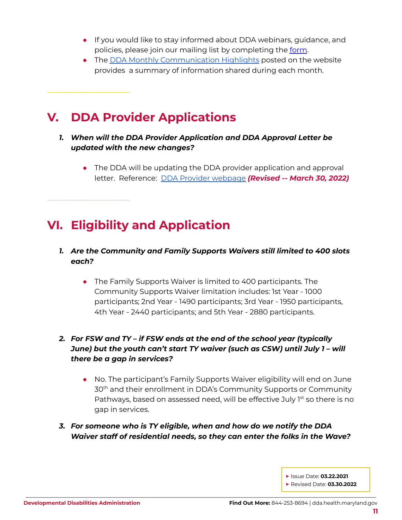- If you would like to stay informed about DDA webinars, quidance, and policies, please join our mailing list by completing the [form.](https://visitor.r20.constantcontact.com/manage/optin?v=001duPUQ89Y6uaUZUHfrfBd4sWTTzG_f0OyyaLK5sCAsNzYeIx9bZrBwViCN-BSsaq8x4k2S-x7OIrMxyvzFLzzka_MbZ9n3hr4gLdvbxhA6vg3Q7gsgNfGdLcGK68pyS-xfQTEsGgMuuCcnjoS7kn0Do6kzzIB55POaSMFJZO8ge9yJrSifDp5Jw%3D%3D)
- The DDA Monthly [Communication](https://health.maryland.gov/dda/Pages/new%20updates.aspx) Highlights posted on the website provides a summary of information shared during each month.

## <span id="page-10-0"></span>**V. DDA Provider Applications**

\_\_\_\_\_\_\_\_\_\_\_\_\_\_\_\_\_\_\_\_\_\_\_\_\_

\_\_\_\_\_\_\_\_\_\_\_\_\_\_\_\_\_\_\_\_\_\_\_\_\_

- *1. When will the DDA Provider Application and DDA Approval Letter be updated with the new changes?*
	- The DDA will be updating the DDA provider application and approval letter. Reference: DDA Provider [webpage](https://health.maryland.gov/dda/Pages/providers.aspx) *(Revised -- March 30, 2022)*

## <span id="page-10-1"></span>**VI. Eligibility and Application**

## *1. Are the Community and Family Supports Waivers still limited to 400 slots each?*

● The Family Supports Waiver is limited to 400 participants. The Community Supports Waiver limitation includes: 1st Year - 1000 participants; 2nd Year - 1490 participants; 3rd Year - 1950 participants, 4th Year - 2440 participants; and 5th Year - 2880 participants.

## *2. For FSW and TY – if FSW ends at the end of the school year (typically June) but the youth can't start TY waiver (such as CSW) until July 1 – will there be a gap in services?*

- No. The participant's Family Supports Waiver eligibility will end on June 30<sup>th</sup> and their enrollment in DDA's Community Supports or Community Pathways, based on assessed need, will be effective July 1<sup>st</sup> so there is no gap in services.
- *3. For someone who is TY eligible, when and how do we notify the DDA Waiver staff of residential needs, so they can enter the folks in the Wave?*

**▶** Issue Date: **03.22.2021**

**▶** Revised Date: **03.30.2022**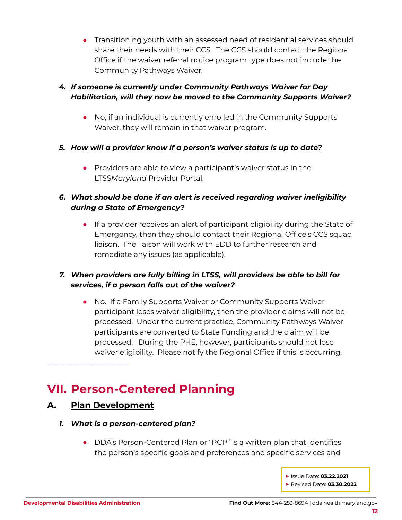● Transitioning youth with an assessed need of residential services should share their needs with their CCS. The CCS should contact the Regional Office if the waiver referral notice program type does not include the Community Pathways Waiver.

## *4. If someone is currently under Community Pathways Waiver for Day Habilitation, will they now be moved to the Community Supports Waiver?*

- No, if an individual is currently enrolled in the Community Supports Waiver, they will remain in that waiver program.
- *5. How will a provider know if a person's waiver status is up to date?*
	- Providers are able to view a participant's waiver status in the LTSS*Maryland* Provider Portal.

## *6. What should be done if an alert is received regarding waiver ineligibility during a State of Emergency?*

● If a provider receives an alert of participant eligibility during the State of Emergency, then they should contact their Regional Office's CCS squad liaison. The liaison will work with EDD to further research and remediate any issues (as applicable).

## *7. When providers are fully billing in LTSS, will providers be able to bill for services, if a person falls out of the waiver?*

● No. If a Family Supports Waiver or Community Supports Waiver participant loses waiver eligibility, then the provider claims will not be processed. Under the current practice, Community Pathways Waiver participants are converted to State Funding and the claim will be processed. During the PHE, however, participants should not lose waiver eligibility. Please notify the Regional Office if this is occurring.

## <span id="page-11-0"></span>**VII. Person-Centered Planning**

## <span id="page-11-1"></span>**A. Plan Development**

\_\_\_\_\_\_\_\_\_\_\_\_\_\_\_\_\_\_\_\_\_\_\_\_\_

- *1. What is a person-centered plan?*
	- DDA's Person-Centered Plan or "PCP" is a written plan that identifies the person's specific goals and preferences and specific services and
		- **▶** Issue Date: **03.22.2021 ▶** Revised Date: **03.30.2022**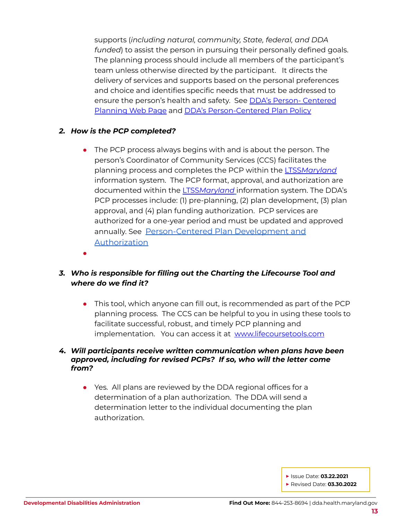supports (*including natural, community, State, federal, and DDA funded*) to assist the person in pursuing their personally defined goals. The planning process should include all members of the participant's team unless otherwise directed by the participant. It directs the delivery of services and supports based on the personal preferences and choice and identifies specific needs that must be addressed to ensure the person's health and safety. See DDA's Person- [Centered](https://dda.health.maryland.gov/Pages/Person-Centered_Planning.aspx) [Planning](https://dda.health.maryland.gov/Pages/Person-Centered_Planning.aspx) Web Page and DDA's [Person-Centered](https://dhmh.policystat.com/?lt=FGOOt-k9bPID7nabPPUk8c&next=%2Fpolicy%2F9133788%2Flatest%2F) Plan Policy

#### *2. How is the PCP completed?*

- The PCP process always begins with and is about the person. The person's Coordinator of Community Services (CCS) facilitates the planning process and completes the PCP within the LTSS*[Maryland](https://dda.health.maryland.gov/Pages/LTSS%20Maryland.aspx)* information system. The PCP format, approval, and authorization are documented within the LTSS*[Maryland](https://dda.health.maryland.gov/Pages/LTSS%20Maryland.aspx)* information system. The DDA's PCP processes include: (1) pre-planning, (2) plan development, (3) plan approval, and (4) plan funding authorization. PCP services are authorized for a one-year period and must be updated and approved annually. See [Person-Centered](https://health.maryland.gov/dda/Pages/Person-Centered_Planning.aspx) Plan Development and [Authorization](https://health.maryland.gov/dda/Pages/Person-Centered_Planning.aspx)
- ●

## *3. Who is responsible for filling out the Charting the Lifecourse Tool and where do we find it?*

• This tool, which anyone can fill out, is recommended as part of the PCP planning process. The CCS can be helpful to you in using these tools to facilitate successful, robust, and timely PCP planning and implementation. You can access it at [www.lifecoursetools.com](http://www.lifecoursetools.com)

#### *4. Will participants receive written communication when plans have been approved, including for revised PCPs? If so, who will the letter come from?*

● Yes. All plans are reviewed by the DDA regional offices for a determination of a plan authorization. The DDA will send a determination letter to the individual documenting the plan authorization.

**▶** Issue Date: **03.22.2021**

**▶** Revised Date: **03.30.2022**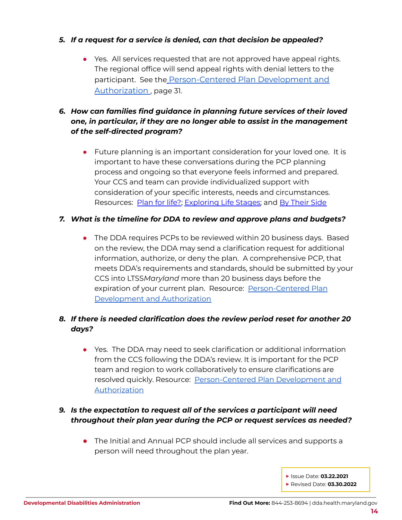#### *5. If a request for a service is denied, can that decision be appealed?*

• Yes. All services requested that are not approved have appeal rights. The regional office will send appeal rights with denial letters to the participant. See th[e](https://dda.health.maryland.gov/Documents/Person-Centered%20Planning/1.29.21/DDA%20-%20PCP%20Development%20and%20Authorization%20-%20Revised%20Jan%2029%202021.pdf) [Person-Centered](https://health.maryland.gov/dda/Pages/Person-Centered_Planning.aspx) Plan Development and [Authorization](https://health.maryland.gov/dda/Pages/Person-Centered_Planning.aspx) , page 31.

## *6. How can families find guidance in planning future services of their loved one, in particular, if they are no longer able to assist in the management of the self-directed program?*

● Future planning is an important consideration for your loved one. It is important to have these conversations during the PCP planning process and ongoing so that everyone feels informed and prepared. Your CCS and team can provide individualized support with consideration of your specific interests, needs and circumstances. Resources: [Plan](https://dda.health.maryland.gov/Documents/2016/Planning%20for%20Life%20-%20Updated%201-14-16.pdf) for life?; [Exploring](http://www.lifecoursetools.com/lifecourse-library/exploring-the-life-stages/) Life Stages; and By [Their](http://bytheirside.org/) Side

#### *7. What is the timeline for DDA to review and approve plans and budgets?*

• The DDA requires PCPs to be reviewed within 20 business days. Based on the review, the DDA may send a clarification request for additional information, authorize, or deny the plan. A comprehensive PCP, that meets DDA's requirements and standards, should be submitted by your CCS into LTSS*Maryland* more than 20 business days before the expiration of your current plan. Resource: [Person-Centered](https://health.maryland.gov/dda/Pages/Person-Centered_Planning.aspx) Plan [Development](https://health.maryland.gov/dda/Pages/Person-Centered_Planning.aspx) and Authorization

## *8. If there is needed clarification does the review period reset for another 20 days?*

• Yes. The DDA may need to seek clarification or additional information from the CCS following the DDA's review. It is important for the PCP team and region to work collaboratively to ensure clarifications are resolved quickly. Resource: [Person-Centered](https://health.maryland.gov/dda/Pages/Person-Centered_Planning.aspx) Plan Development and [Authorization](https://health.maryland.gov/dda/Pages/Person-Centered_Planning.aspx)

## *9. Is the expectation to request all of the services a participant will need throughout their plan year during the PCP or request services as needed?*

- The Initial and Annual PCP should include all services and supports a person will need throughout the plan year.
	- **▶** Issue Date: **03.22.2021 ▶** Revised Date: **03.30.2022**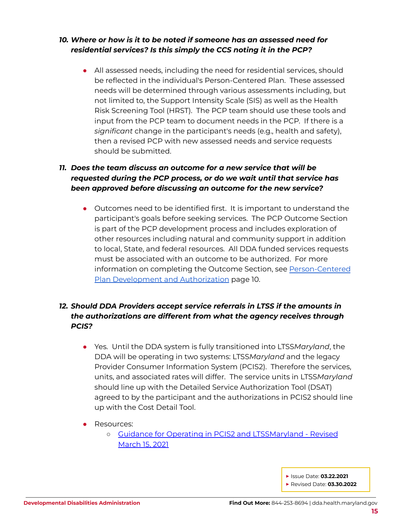## *10. Where or how is it to be noted if someone has an assessed need for residential services? Is this simply the CCS noting it in the PCP?*

• All assessed needs, including the need for residential services, should be reflected in the individual's Person-Centered Plan. These assessed needs will be determined through various assessments including, but not limited to, the Support Intensity Scale (SIS) as well as the Health Risk Screening Tool (HRST). The PCP team should use these tools and input from the PCP team to document needs in the PCP. If there is a *significant* change in the participant's needs (e.g., health and safety), then a revised PCP with new assessed needs and service requests should be submitted.

## *11. Does the team discuss an outcome for a new service that will be requested during the PCP process, or do we wait until that service has been approved before discussing an outcome for the new service?*

• Outcomes need to be identified first. It is important to understand the participant's goals before seeking services. The PCP Outcome Section is part of the PCP development process and includes exploration of other resources including natural and community support in addition to local, State, and federal resources. All DDA funded services requests must be associated with an outcome to be authorized. For more information on completing the Outcome Section, see [Person-Centered](https://health.maryland.gov/dda/Pages/Person-Centered_Planning.aspx) Plan [Development](https://health.maryland.gov/dda/Pages/Person-Centered_Planning.aspx) and Authorization page 10.

## *12. Should DDA Providers accept service referrals in LTSS if the amounts in the authorizations are different from what the agency receives through PCIS?*

- Yes. Until the DDA system is fully transitioned into LTSS*Maryland*, the DDA will be operating in two systems: LTSS*Maryland* and the legacy Provider Consumer Information System (PCIS2). Therefore the services, units, and associated rates will differ. The service units in LTSS*Maryland* should line up with the Detailed Service Authorization Tool (DSAT) agreed to by the participant and the authorizations in PCIS2 should line up with the Cost Detail Tool.
- Resources:
	- o Guidance for Operating in PCIS2 and [LTSSMaryland](https://dda.health.maryland.gov/Documents/Transformation/At%20a%20Glance%20Documents/3.15.21/GuidanceForTheJuly1-2020Transition-Revised%20March%2015,%202021.pdf) Revised [March](https://dda.health.maryland.gov/Documents/Transformation/At%20a%20Glance%20Documents/3.15.21/GuidanceForTheJuly1-2020Transition-Revised%20March%2015,%202021.pdf) 15, 2021

**▶** Issue Date: **03.22.2021**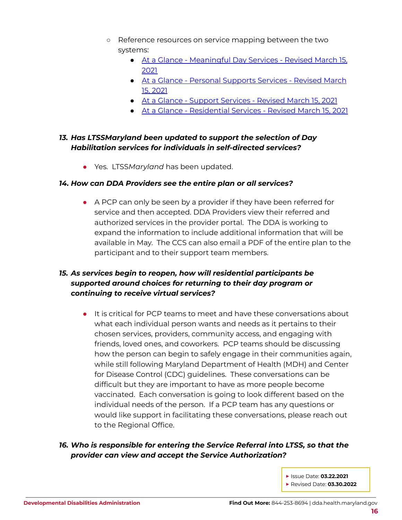- Reference resources on service mapping between the two systems:
	- At a Glance [Meaningful](https://dda.health.maryland.gov/Documents/Transformation/At%20a%20Glance%20Documents/3.15.21/AAG-MeaningfulDayServicesPlanningAuthorization%20Revised%20March%2015,%202021.pdf) Day Services Revised March 15, [2021](https://dda.health.maryland.gov/Documents/Transformation/At%20a%20Glance%20Documents/3.15.21/AAG-MeaningfulDayServicesPlanningAuthorization%20Revised%20March%2015,%202021.pdf)
	- At a Glance Personal [Supports](https://dda.health.maryland.gov/Documents/Transformation/At%20a%20Glance%20Documents/3.15.21/AAG-PersonalSupportsServicePlanningAuthorization%20Revised%20March%2015,%202021.pdf) Services Revised March 15, [2021](https://dda.health.maryland.gov/Documents/Transformation/At%20a%20Glance%20Documents/3.15.21/AAG-PersonalSupportsServicePlanningAuthorization%20Revised%20March%2015,%202021.pdf)
	- At a Glance Support [Services](https://dda.health.maryland.gov/Documents/Transformation/At%20a%20Glance%20Documents/3.15.21/AAG-SupportServicesPlanningAuthorization%20Revised%20March%2015,%202021.pdf) Revised March 15, 2021
	- At a Glance [Residential](https://dda.health.maryland.gov/Documents/Transformation/At%20a%20Glance%20Documents/3.15.21/AAG-ResidentialServicesPlanningAuthorization%20Revised%20March%2015,%202021.pdf) Services Revised March 15, 2021

## *13. Has LTSSMaryland been updated to support the selection of Day Habilitation services for individuals in self-directed services?*

● Yes. LTSS*Maryland* has been updated.

#### *14. How can DDA Providers see the entire plan or all services?*

● A PCP can only be seen by a provider if they have been referred for service and then accepted. DDA Providers view their referred and authorized services in the provider portal. The DDA is working to expand the information to include additional information that will be available in May. The CCS can also email a PDF of the entire plan to the participant and to their support team members.

## *15. As services begin to reopen, how will residential participants be supported around choices for returning to their day program or continuing to receive virtual services?*

● It is critical for PCP teams to meet and have these conversations about what each individual person wants and needs as it pertains to their chosen services, providers, community access, and engaging with friends, loved ones, and coworkers. PCP teams should be discussing how the person can begin to safely engage in their communities again, while still following Maryland Department of Health (MDH) and Center for Disease Control (CDC) guidelines. These conversations can be difficult but they are important to have as more people become vaccinated. Each conversation is going to look different based on the individual needs of the person. If a PCP team has any questions or would like support in facilitating these conversations, please reach out to the Regional Office.

## *16. Who is responsible for entering the Service Referral into LTSS, so that the provider can view and accept the Service Authorization?*

**▶** Issue Date: **03.22.2021**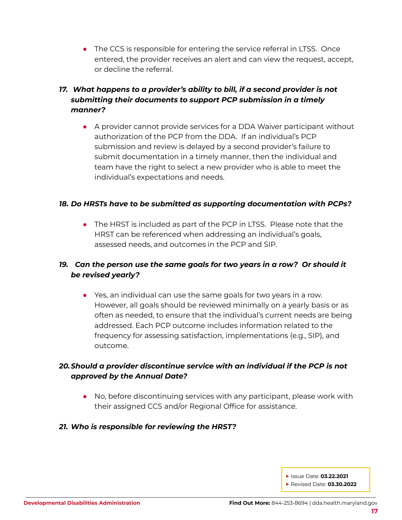• The CCS is responsible for entering the service referral in LTSS. Once entered, the provider receives an alert and can view the request, accept, or decline the referral.

## *17. What happens to a provider's ability to bill, if a second provider is not submitting their documents to support PCP submission in a timely manner?*

● A provider cannot provide services for a DDA Waiver participant without authorization of the PCP from the DDA. If an individual's PCP submission and review is delayed by a second provider's failure to submit documentation in a timely manner, then the individual and team have the right to select a new provider who is able to meet the individual's expectations and needs.

#### *18. Do HRSTs have to be submitted as supporting documentation with PCPs?*

• The HRST is included as part of the PCP in LTSS. Please note that the HRST can be referenced when addressing an individual's goals, assessed needs, and outcomes in the PCP and SIP.

## *19. Can the person use the same goals for two years in a row? Or should it be revised yearly?*

● Yes, an individual can use the same goals for two years in a row. However, all goals should be reviewed minimally on a yearly basis or as often as needed, to ensure that the individual's current needs are being addressed. Each PCP outcome includes information related to the frequency for assessing satisfaction, implementations (e.g., SIP), and outcome.

## *20.Should a provider discontinue service with an individual if the PCP is not approved by the Annual Date?*

- No, before discontinuing services with any participant, please work with their assigned CCS and/or Regional Office for assistance.
- *21. Who is responsible for reviewing the HRST?*

- **▶** Issue Date: **03.22.2021**
- **▶** Revised Date: **03.30.2022**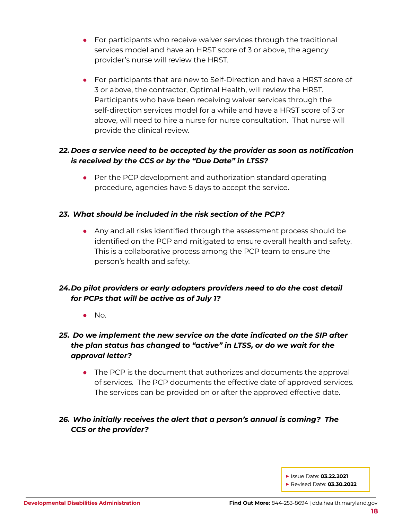- For participants who receive waiver services through the traditional services model and have an HRST score of 3 or above, the agency provider's nurse will review the HRST.
- For participants that are new to Self-Direction and have a HRST score of 3 or above, the contractor, Optimal Health, will review the HRST. Participants who have been receiving waiver services through the self-direction services model for a while and have a HRST score of 3 or above, will need to hire a nurse for nurse consultation. That nurse will provide the clinical review.

## *22. Does a service need to be accepted by the provider as soon as notification is received by the CCS or by the "Due Date" in LTSS?*

● Per the PCP development and authorization standard operating procedure, agencies have 5 days to accept the service.

## *23. What should be included in the risk section of the PCP?*

● Any and all risks identified through the assessment process should be identified on the PCP and mitigated to ensure overall health and safety. This is a collaborative process among the PCP team to ensure the person's health and safety.

## *24.Do pilot providers or early adopters providers need to do the cost detail for PCPs that will be active as of July 1?*

 $\bullet$  No.

## *25. Do we implement the new service on the date indicated on the SIP after the plan status has changed to "active" in LTSS, or do we wait for the approval letter?*

• The PCP is the document that authorizes and documents the approval of services. The PCP documents the effective date of approved services. The services can be provided on or after the approved effective date.

## *26. Who initially receives the alert that a person's annual is coming? The CCS or the provider?*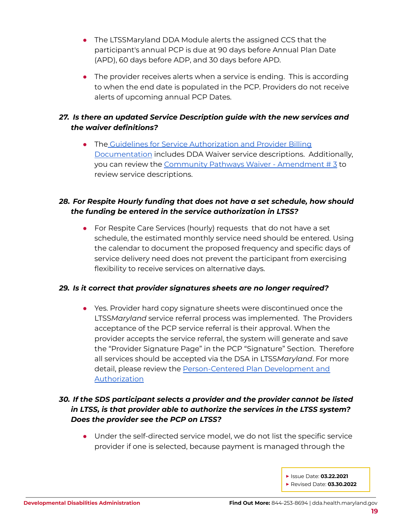- The LTSSMaryland DDA Module alerts the assigned CCS that the participant's annual PCP is due at 90 days before Annual Plan Date (APD), 60 days before ADP, and 30 days before APD.
- The provider receives alerts when a service is ending. This is according to when the end date is populated in the PCP. Providers do not receive alerts of upcoming annual PCP Dates.

## *27. Is there an updated Service Description guide with the new services and the waiver definitions?*

● The Guidelines for Service [Authorization](https://health.maryland.gov/dda/Pages/Person-Centered_Planning.aspx) and Provider Billing [Documentation](https://health.maryland.gov/dda/Pages/Person-Centered_Planning.aspx) includes DDA Waiver service descriptions. Additionally, you can review the Community Pathways Waiver - [Amendment](https://dda.health.maryland.gov/Documents/Waiver%20Documents/Community%20Pathways%20Waiver/CPW%20Amendment%203%20effective%20011921.PDF) # 3 to review service descriptions.

## *28. For Respite Hourly funding that does not have a set schedule, how should the funding be entered in the service authorization in LTSS?*

● For Respite Care Services (hourly) requests that do not have a set schedule, the estimated monthly service need should be entered. Using the calendar to document the proposed frequency and specific days of service delivery need does not prevent the participant from exercising flexibility to receive services on alternative days.

#### *29. Is it correct that provider signatures sheets are no longer required?*

• Yes. Provider hard copy signature sheets were discontinued once the LTSS*Maryland* service referral process was implemented. The Providers acceptance of the PCP service referral is their approval. When the provider accepts the service referral, the system will generate and save the "Provider Signature Page" in the PCP "Signature" Section. Therefore all services should be accepted via the DSA in LTSS*Maryland*. For more detail, please review the [Person-Centered](https://health.maryland.gov/dda/Pages/Person-Centered_Planning.aspx) Plan Development and [Authorization](https://health.maryland.gov/dda/Pages/Person-Centered_Planning.aspx)

## *30. If the SDS participant selects a provider and the provider cannot be listed in LTSS, is that provider able to authorize the services in the LTSS system? Does the provider see the PCP on LTSS?*

- Under the self-directed service model, we do not list the specific service provider if one is selected, because payment is managed through the
	- **▶** Issue Date: **03.22.2021 ▶** Revised Date: **03.30.2022**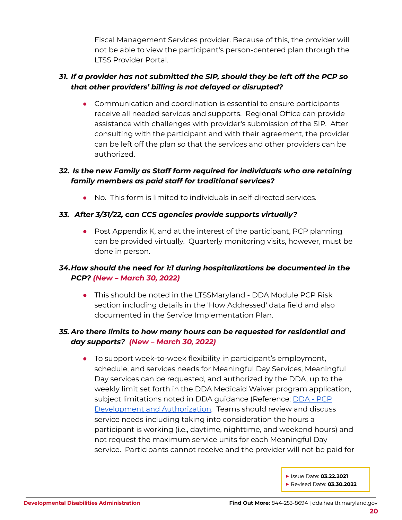Fiscal Management Services provider. Because of this, the provider will not be able to view the participant's person-centered plan through the LTSS Provider Portal.

## *31. If a provider has not submitted the SIP, should they be left off the PCP so that other providers' billing is not delayed or disrupted?*

• Communication and coordination is essential to ensure participants receive all needed services and supports. Regional Office can provide assistance with challenges with provider's submission of the SIP. After consulting with the participant and with their agreement, the provider can be left off the plan so that the services and other providers can be authorized.

## *32. Is the new Family as Staff form required for individuals who are retaining family members as paid staff for traditional services?*

● No. This form is limited to individuals in self-directed services.

#### *33. After 3/31/22, can CCS agencies provide supports virtually?*

• Post Appendix K, and at the interest of the participant, PCP planning can be provided virtually. Quarterly monitoring visits, however, must be done in person.

## *34.How should the need for 1:1 during hospitalizations be documented in the PCP? (New – March 30, 2022)*

• This should be noted in the LTSSMaryland - DDA Module PCP Risk section including details in the 'How Addressed' data field and also documented in the Service Implementation Plan.

## *35. Are there limits to how many hours can be requested for residential and day supports? (New – March 30, 2022)*

• To support week-to-week flexibility in participant's employment, schedule, and services needs for Meaningful Day Services, Meaningful Day services can be requested, and authorized by the DDA, up to the weekly limit set forth in the DDA Medicaid Waiver program application, subject limitations noted in DDA guidance (Reference: [DDA](https://health.maryland.gov/dda/Pages/Person-Centered_Planning.aspx) - PCP [Development](https://health.maryland.gov/dda/Pages/Person-Centered_Planning.aspx) and Authorization. Teams should review and discuss service needs including taking into consideration the hours a participant is working (i.e., daytime, nighttime, and weekend hours) and not request the maximum service units for each Meaningful Day service. Participants cannot receive and the provider will not be paid for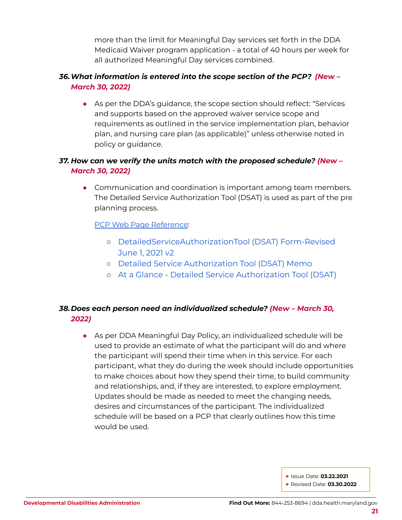more than the limit for Meaningful Day services set forth in the DDA Medicaid Waiver program application - a total of 40 hours per week for all authorized Meaningful Day services combined.

#### *36.What information is entered into the scope section of the PCP? (New – March 30, 2022)*

• As per the DDA's guidance, the scope section should reflect: "Services" and supports based on the approved waiver service scope and requirements as outlined in the service implementation plan, behavior plan, and nursing care plan (as applicable)" unless otherwise noted in policy or guidance.

## *37. How can we verify the units match with the proposed schedule? (New – March 30, 2022)*

● Communication and coordination is important among team members. The Detailed Service Authorization Tool (DSAT) is used as part of the pre planning process.

#### PCP Web Page [Reference](https://health.maryland.gov/dda/Pages/Person-Centered_Planning.aspx):

- [DetailedServiceAuthorizationTool](https://health.maryland.gov/dda/Documents/Person-Centered%20Planning/6.23.21/DetailedServiceAuthorizationTool_Revised%2006012021v2.xlsx) (DSAT) Form-Revised [June](https://health.maryland.gov/dda/Documents/Person-Centered%20Planning/6.23.21/DetailedServiceAuthorizationTool_Revised%2006012021v2.xlsx) 1, 2021 v2
- Detailed Service [Authorization](https://health.maryland.gov/dda/Documents/Person-Centered%20Planning/DSAT%20Memo%209.4.20.pdf) Tool (DSAT) Memo
- At a Glance Detailed Service [Authorization](https://health.maryland.gov/dda/Documents/Person-Centered%20Planning/1.21.21/At%20A%20Glance%20-%20DSAT%201-22-2021.pdf) Tool (DSAT)

## *38.Does each person need an individualized schedule? (New – March 30, 2022)*

● As per DDA Meaningful Day Policy, an individualized schedule will be used to provide an estimate of what the participant will do and where the participant will spend their time when in this service. For each participant, what they do during the week should include opportunities to make choices about how they spend their time, to build community and relationships, and, if they are interested, to explore employment. Updates should be made as needed to meet the changing needs, desires and circumstances of the participant. The individualized schedule will be based on a PCP that clearly outlines how this time would be used.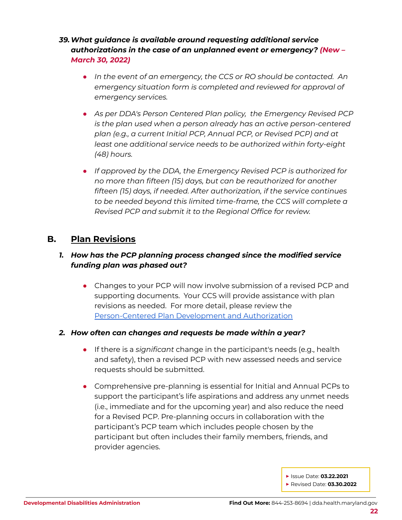## *39.What guidance is available around requesting additional service authorizations in the case of an unplanned event or emergency? (New – March 30, 2022)*

- *● In the event of an emergency, the CCS or RO should be contacted. An emergency situation form is completed and reviewed for approval of emergency services.*
- *● As per DDA's Person Centered Plan policy, the Emergency Revised PCP is the plan used when a person already has an active person-centered plan (e.g., a current Initial PCP, Annual PCP, or Revised PCP) and at least one additional service needs to be authorized within forty-eight (48) hours.*
- *● If approved by the DDA, the Emergency Revised PCP is authorized for no more than fifteen (15) days, but can be reauthorized for another fifteen (15) days, if needed. After authorization, if the service continues to be needed beyond this limited time-frame, the CCS will complete a Revised PCP and submit it to the Regional Office for review.*

## **B. Plan Revisions**

## *1. How has the PCP planning process changed since the modified service funding plan was phased out?*

• Changes to your PCP will now involve submission of a revised PCP and supporting documents. Your CCS will provide assistance with plan revisions as needed. For more detail, please review the [Person-Centered](https://health.maryland.gov/dda/Pages/Person-Centered_Planning.aspx) Plan Development and Authorization

#### *2. How often can changes and requests be made within a year?*

- If there is a *significant* change in the participant's needs (e.g., health and safety), then a revised PCP with new assessed needs and service requests should be submitted.
- Comprehensive pre-planning is essential for Initial and Annual PCPs to support the participant's life aspirations and address any unmet needs (i.e., immediate and for the upcoming year) and also reduce the need for a Revised PCP. Pre-planning occurs in collaboration with the participant's PCP team which includes people chosen by the participant but often includes their family members, friends, and provider agencies.

**▶** Issue Date: **03.22.2021**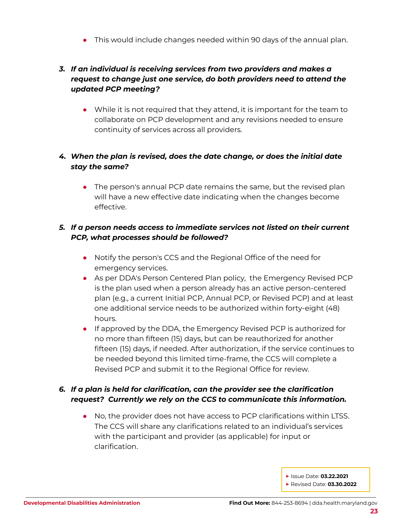● This would include changes needed within 90 days of the annual plan.

## *3. If an individual is receiving services from two providers and makes a request to change just one service, do both providers need to attend the updated PCP meeting?*

● While it is not required that they attend, it is important for the team to collaborate on PCP development and any revisions needed to ensure continuity of services across all providers.

## *4. When the plan is revised, does the date change, or does the initial date stay the same?*

• The person's annual PCP date remains the same, but the revised plan will have a new effective date indicating when the changes become effective.

## *5. If a person needs access to immediate services not listed on their current PCP, what processes should be followed?*

- Notify the person's CCS and the Regional Office of the need for emergency services.
- As per DDA's Person Centered Plan policy, the Emergency Revised PCP is the plan used when a person already has an active person-centered plan (e.g., a current Initial PCP, Annual PCP, or Revised PCP) and at least one additional service needs to be authorized within forty-eight (48) hours.
- If approved by the DDA, the Emergency Revised PCP is authorized for no more than fifteen (15) days, but can be reauthorized for another fifteen (15) days, if needed. After authorization, if the service continues to be needed beyond this limited time-frame, the CCS will complete a Revised PCP and submit it to the Regional Office for review.

## *6. If a plan is held for clarification, can the provider see the clarification request? Currently we rely on the CCS to communicate this information.*

● No, the provider does not have access to PCP clarifications within LTSS. The CCS will share any clarifications related to an individual's services with the participant and provider (as applicable) for input or clarification.

**▶** Issue Date: **03.22.2021**

**▶** Revised Date: **03.30.2022**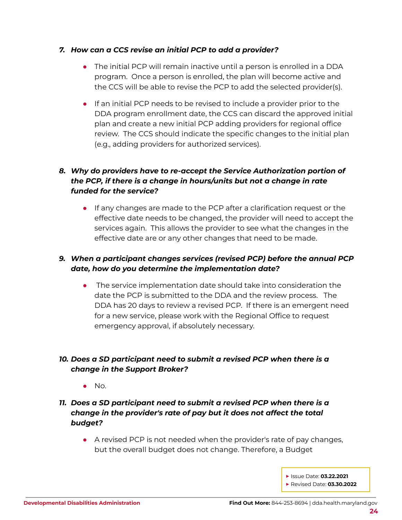#### *7. How can a CCS revise an initial PCP to add a provider?*

- The initial PCP will remain inactive until a person is enrolled in a DDA program. Once a person is enrolled, the plan will become active and the CCS will be able to revise the PCP to add the selected provider(s).
- If an initial PCP needs to be revised to include a provider prior to the DDA program enrollment date, the CCS can discard the approved initial plan and create a new initial PCP adding providers for regional office review. The CCS should indicate the specific changes to the initial plan (e.g., adding providers for authorized services).

## *8. Why do providers have to re-accept the Service Authorization portion of the PCP, if there is a change in hours/units but not a change in rate funded for the service?*

● If any changes are made to the PCP after a clarification request or the effective date needs to be changed, the provider will need to accept the services again. This allows the provider to see what the changes in the effective date are or any other changes that need to be made.

## *9. When a participant changes services (revised PCP) before the annual PCP date, how do you determine the implementation date?*

● The service implementation date should take into consideration the date the PCP is submitted to the DDA and the review process. The DDA has 20 days to review a revised PCP. If there is an emergent need for a new service, please work with the Regional Office to request emergency approval, if absolutely necessary.

## *10. Does a SD participant need to submit a revised PCP when there is a change in the Support Broker?*

- $\bullet$  No.
- *11. Does a SD participant need to submit a revised PCP when there is a change in the provider's rate of pay but it does not affect the total budget?*
	- A revised PCP is not needed when the provider's rate of pay changes, but the overall budget does not change. Therefore, a Budget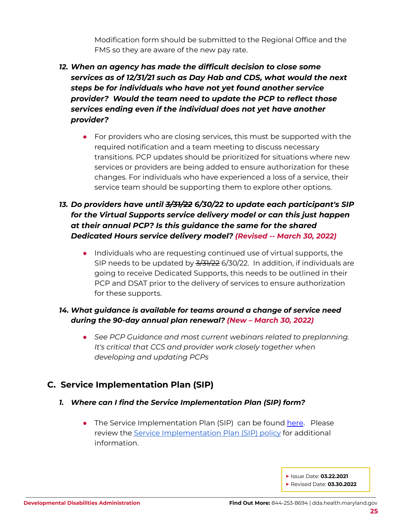Modification form should be submitted to the Regional Office and the FMS so they are aware of the new pay rate.

- *12. When an agency has made the difficult decision to close some services as of 12/31/21 such as Day Hab and CDS, what would the next steps be for individuals who have not yet found another service provider? Would the team need to update the PCP to reflect those services ending even if the individual does not yet have another provider?*
	- For providers who are closing services, this must be supported with the required notification and a team meeting to discuss necessary transitions. PCP updates should be prioritized for situations where new services or providers are being added to ensure authorization for these changes. For individuals who have experienced a loss of a service, their service team should be supporting them to explore other options.

## *13. Do providers have until 3/31/22 6/30/22 to update each participant's SIP for the Virtual Supports service delivery model or can this just happen at their annual PCP? Is this guidance the same for the shared Dedicated Hours service delivery model? (Revised -- March 30, 2022)*

● Individuals who are requesting continued use of virtual supports, the SIP needs to be updated by  $\frac{3}{31/22}$  6/30/22. In addition, if individuals are going to receive Dedicated Supports, this needs to be outlined in their PCP and DSAT prior to the delivery of services to ensure authorization for these supports.

## *14. What guidance is available for teams around a change of service need during the 90-day annual plan renewal? (New – March 30, 2022)*

*● See PCP Guidance and most current webinars related to preplanning. It's critical that CCS and provider work closely together when developing and updating PCPs*

## <span id="page-24-0"></span>**C. Service Implementation Plan (SIP)**

- *1. Where can I find the Service Implementation Plan (SIP) form?*
	- The Service Implementation Plan (SIP) can be found [here](https://dda.health.maryland.gov/Documents/Person-Centered%20Planning/4.12.21/DDA_PIPTraditionalAndSelf-DirectedServices_FORM%20FINAL%202.26.21.pdf). Please review the Service [Implementation](https://dhmh.policystat.com/policy/9606918/latest/) Plan (SIP) policy for additional information.

**▶** Issue Date: **03.22.2021**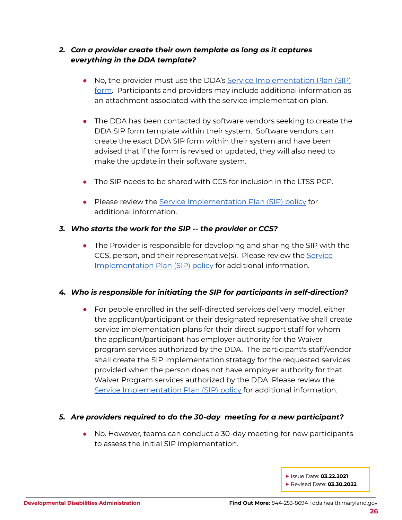#### *2. Can a provider create their own template as long as it captures everything in the DDA template?*

- No, the provider must use the DDA's Service [Implementation](https://dda.health.maryland.gov/Documents/Person-Centered%20Planning/4.12.21/DDA_PIPTraditionalAndSelf-DirectedServices_FORM%20FINAL%202.26.21.pdf) Plan (SIP) [form.](https://dda.health.maryland.gov/Documents/Person-Centered%20Planning/4.12.21/DDA_PIPTraditionalAndSelf-DirectedServices_FORM%20FINAL%202.26.21.pdf) Participants and providers may include additional information as an attachment associated with the service implementation plan.
- The DDA has been contacted by software vendors seeking to create the DDA SIP form template within their system. Software vendors can create the exact DDA SIP form within their system and have been advised that if the form is revised or updated, they will also need to make the update in their software system.
- The SIP needs to be shared with CCS for inclusion in the LTSS PCP.
- Please review the Service [Implementation](https://dhmh.policystat.com/policy/9606918/latest/) Plan (SIP) policy for additional information.

#### *3. Who starts the work for the SIP -- the provider or CCS?*

• The Provider is responsible for developing and sharing the SIP with the CCS, person, and their representative(s). Please review the [Service](https://dhmh.policystat.com/policy/9606918/latest/) [Implementation](https://dhmh.policystat.com/policy/9606918/latest/) Plan (SIP) policy for additional information.

## *4. Who is responsible for initiating the SIP for participants in self-direction?*

● For people enrolled in the self-directed services delivery model, either the applicant/participant or their designated representative shall create service implementation plans for their direct support staff for whom the applicant/participant has employer authority for the Waiver program services authorized by the DDA. The participant's staff/vendor shall create the SIP implementation strategy for the requested services provided when the person does not have employer authority for that Waiver Program services authorized by the DDA. Please review the Service [Implementation](https://dhmh.policystat.com/policy/9606918/latest/) Plan (SIP) policy for additional information.

## *5. Are providers required to do the 30-day meeting for a new participant?*

- No. However, teams can conduct a 30-day meeting for new participants to assess the initial SIP implementation.
	- **▶** Issue Date: **03.22.2021 ▶** Revised Date: **03.30.2022**
	-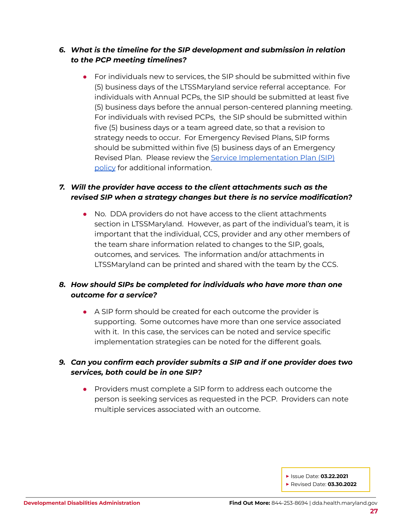#### *6. What is the timeline for the SIP development and submission in relation to the PCP meeting timelines?*

● For individuals new to services, the SIP should be submitted within five (5) business days of the LTSSMaryland service referral acceptance. For individuals with Annual PCPs, the SIP should be submitted at least five (5) business days before the annual person-centered planning meeting. For individuals with revised PCPs, the SIP should be submitted within five (5) business days or a team agreed date, so that a revision to strategy needs to occur. For Emergency Revised Plans, SIP forms should be submitted within five (5) business days of an Emergency Revised Plan. Please review the Service [Implementation](https://dhmh.policystat.com/policy/9606918/latest/) Plan (SIP) [policy](https://dhmh.policystat.com/policy/9606918/latest/) for additional information.

#### *7. Will the provider have access to the client attachments such as the revised SIP when a strategy changes but there is no service modification?*

● No. DDA providers do not have access to the client attachments section in LTSSMaryland. However, as part of the individual's team, it is important that the individual, CCS, provider and any other members of the team share information related to changes to the SIP, goals, outcomes, and services. The information and/or attachments in LTSSMaryland can be printed and shared with the team by the CCS.

#### *8. How should SIPs be completed for individuals who have more than one outcome for a service?*

● A SIP form should be created for each outcome the provider is supporting. Some outcomes have more than one service associated with it. In this case, the services can be noted and service specific implementation strategies can be noted for the different goals.

#### *9. Can you confirm each provider submits a SIP and if one provider does two services, both could be in one SIP?*

● Providers must complete a SIP form to address each outcome the person is seeking services as requested in the PCP. Providers can note multiple services associated with an outcome.

**▶** Issue Date: **03.22.2021**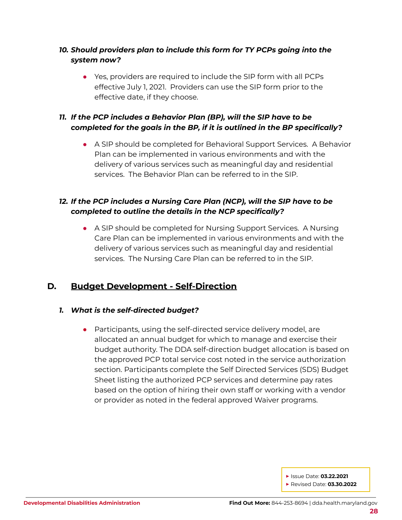## *10. Should providers plan to include this form for TY PCPs going into the system now?*

● Yes, providers are required to include the SIP form with all PCPs effective July 1, 2021. Providers can use the SIP form prior to the effective date, if they choose.

## *11. If the PCP includes a Behavior Plan (BP), will the SIP have to be completed for the goals in the BP, if it is outlined in the BP specifically?*

● A SIP should be completed for Behavioral Support Services. A Behavior Plan can be implemented in various environments and with the delivery of various services such as meaningful day and residential services. The Behavior Plan can be referred to in the SIP.

## *12. If the PCP includes a Nursing Care Plan (NCP), will the SIP have to be completed to outline the details in the NCP specifically?*

• A SIP should be completed for Nursing Support Services. A Nursing Care Plan can be implemented in various environments and with the delivery of various services such as meaningful day and residential services. The Nursing Care Plan can be referred to in the SIP.

## <span id="page-27-0"></span>**D. Budget Development - Self-Direction**

#### *1. What is the self-directed budget?*

● Participants, using the self-directed service delivery model, are allocated an annual budget for which to manage and exercise their budget authority. The DDA self-direction budget allocation is based on the approved PCP total service cost noted in the service authorization section. Participants complete the Self Directed Services (SDS) Budget Sheet listing the authorized PCP services and determine pay rates based on the option of hiring their own staff or working with a vendor or provider as noted in the federal approved Waiver programs.

**▶** Issue Date: **03.22.2021**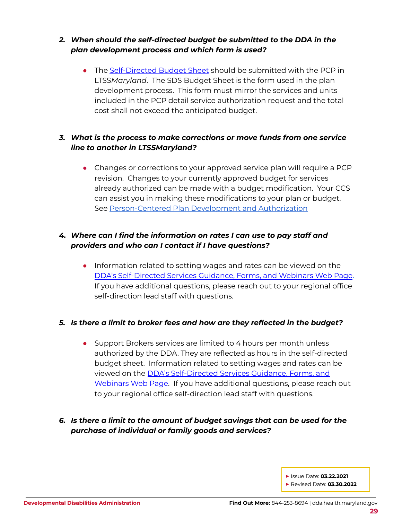## *2. When should the self-directed budget be submitted to the DDA in the plan development process and which form is used?*

• The [Self-Directed](https://dda.health.maryland.gov/Pages/sdforms.aspx) Budget Sheet should be submitted with the PCP in LTSS*Maryland*. The SDS Budget Sheet is the form used in the plan development process. This form must mirror the services and units included in the PCP detail service authorization request and the total cost shall not exceed the anticipated budget.

## *3. What is the process to make corrections or move funds from one service line to another in LTSSMaryland?*

• Changes or corrections to your approved service plan will require a PCP revision. Changes to your currently approved budget for services already authorized can be made with a budget modification. Your CCS can assist you in making these modifications to your plan or budget. See [Person-Centered](https://health.maryland.gov/dda/Pages/Person-Centered_Planning.aspx) Plan Development and Authorization

## *4. Where can I find the information on rates I can use to pay staff and providers and who can I contact if I have questions?*

• Information related to setting wages and rates can be viewed on the DDA's [Self-Directed](https://dda.health.maryland.gov/Pages/sdforms.aspx) Services Guidance, Forms, and Webinars Web Page. If you have additional questions, please reach out to your regional office self-direction lead staff with questions.

#### *5. Is there a limit to broker fees and how are they reflected in the budget?*

• Support Brokers services are limited to 4 hours per month unless authorized by the DDA. They are reflected as hours in the self-directed budget sheet. Information related to setting wages and rates can be viewed on the DDA's [Self-Directed](https://dda.health.maryland.gov/Pages/sdforms.aspx) Services Guidance, Forms, and [Webinars](https://dda.health.maryland.gov/Pages/sdforms.aspx) Web Page. If you have additional questions, please reach out to your regional office self-direction lead staff with questions.

## *6. Is there a limit to the amount of budget savings that can be used for the purchase of individual or family goods and services?*

**▶** Issue Date: **03.22.2021**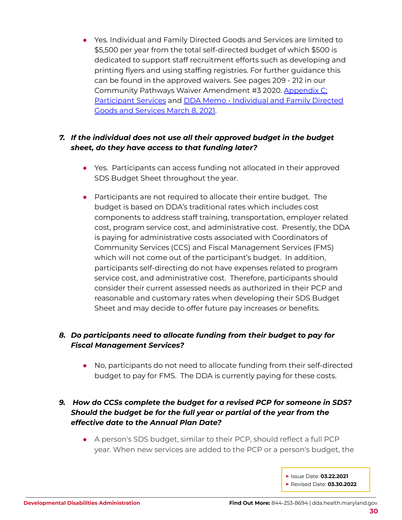● Yes. Individual and Family Directed Goods and Services are limited to \$5,500 per year from the total self-directed budget of which \$500 is dedicated to support staff recruitment efforts such as developing and printing flyers and using staffing registries. For further guidance this can be found in the approved waivers. See pages 209 - 212 in our Community Pathways Waiver Amendment #3 2020. [Appendix](https://dda.health.maryland.gov/Documents/Waiver%20Documents/Community%20Pathways%20Waiver/CPW%20Amendment%203%20effective%20011921.PDF) C: [Participant](https://dda.health.maryland.gov/Documents/Waiver%20Documents/Community%20Pathways%20Waiver/CPW%20Amendment%203%20effective%20011921.PDF) Services and DDA Memo - [Individual](https://dda.health.maryland.gov/Documents/Self-Directed%20Services%20Guidance,%20Forms,%20and,%20Webinars/3.9.21/DDA%20Memo%20-%20Individual%20and%20Family%20Directed%20Goods%20and%20Services%20March%208,%202021.pdf) and Family Directed Goods and [Services](https://dda.health.maryland.gov/Documents/Self-Directed%20Services%20Guidance,%20Forms,%20and,%20Webinars/3.9.21/DDA%20Memo%20-%20Individual%20and%20Family%20Directed%20Goods%20and%20Services%20March%208,%202021.pdf) March 8, 2021.

#### *7. If the individual does not use all their approved budget in the budget sheet, do they have access to that funding later?*

- Yes. Participants can access funding not allocated in their approved SDS Budget Sheet throughout the year.
- Participants are not required to allocate their entire budget. The budget is based on DDA's traditional rates which includes cost components to address staff training, transportation, employer related cost, program service cost, and administrative cost. Presently, the DDA is paying for administrative costs associated with Coordinators of Community Services (CCS) and Fiscal Management Services (FMS) which will not come out of the participant's budget. In addition, participants self-directing do not have expenses related to program service cost, and administrative cost. Therefore, participants should consider their current assessed needs as authorized in their PCP and reasonable and customary rates when developing their SDS Budget Sheet and may decide to offer future pay increases or benefits.

#### *8. Do participants need to allocate funding from their budget to pay for Fiscal Management Services?*

• No, participants do not need to allocate funding from their self-directed budget to pay for FMS. The DDA is currently paying for these costs.

## *9. How do CCSs complete the budget for a revised PCP for someone in SDS? Should the budget be for the full year or partial of the year from the effective date to the Annual Plan Date?*

- A person's SDS budget, similar to their PCP, should reflect a full PCP year. When new services are added to the PCP or a person's budget, the
	- **▶** Issue Date: **03.22.2021 ▶** Revised Date: **03.30.2022**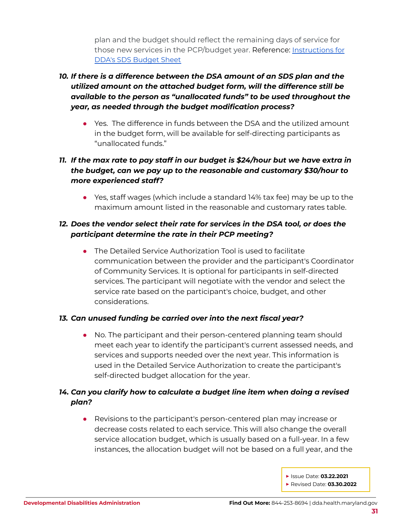plan and the budget should reflect the remaining days of service for those new services in the PCP/budget year. Reference: [Instructions](https://health.maryland.gov/dda/Pages/sdforms.aspx) for DDA's SDS [Budget](https://health.maryland.gov/dda/Pages/sdforms.aspx) Sheet

## *10. If there is a difference between the DSA amount of an SDS plan and the utilized amount on the attached budget form, will the difference still be available to the person as "unallocated funds" to be used throughout the year, as needed through the budget modification process?*

● Yes. The difference in funds between the DSA and the utilized amount in the budget form, will be available for self-directing participants as "unallocated funds."

## *11. If the max rate to pay staff in our budget is \$24/hour but we have extra in the budget, can we pay up to the reasonable and customary \$30/hour to more experienced staff?*

*●* Yes, staff wages (which include a standard 14% tax fee) may be up to the maximum amount listed in the reasonable and customary rates table.

## *12. Does the vendor select their rate for services in the DSA tool, or does the participant determine the rate in their PCP meeting?*

● The Detailed Service Authorization Tool is used to facilitate communication between the provider and the participant's Coordinator of Community Services. It is optional for participants in self-directed services. The participant will negotiate with the vendor and select the service rate based on the participant's choice, budget, and other considerations.

## *13. Can unused funding be carried over into the next fiscal year?*

• No. The participant and their person-centered planning team should meet each year to identify the participant's current assessed needs, and services and supports needed over the next year. This information is used in the Detailed Service Authorization to create the participant's self-directed budget allocation for the year.

## *14. Can you clarify how to calculate a budget line item when doing a revised plan?*

● Revisions to the participant's person-centered plan may increase or decrease costs related to each service. This will also change the overall service allocation budget, which is usually based on a full-year. In a few instances, the allocation budget will not be based on a full year, and the

> **▶** Issue Date: **03.22.2021 ▶** Revised Date: **03.30.2022**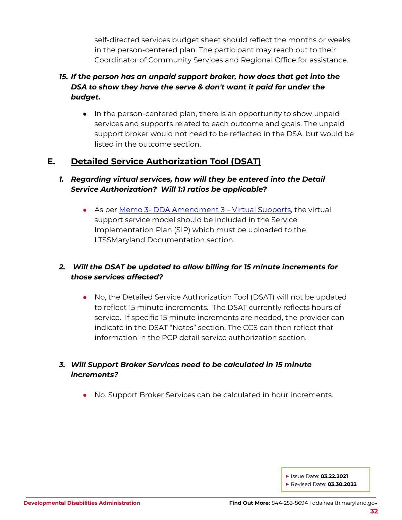self-directed services budget sheet should reflect the months or weeks in the person-centered plan. The participant may reach out to their Coordinator of Community Services and Regional Office for assistance.

## *15. If the person has an unpaid support broker, how does that get into the DSA to show they have the serve & don't want it paid for under the budget.*

• In the person-centered plan, there is an opportunity to show unpaid services and supports related to each outcome and goals. The unpaid support broker would not need to be reflected in the DSA, but would be listed in the outcome section.

## <span id="page-31-0"></span>**E. Detailed Service Authorization Tool (DSAT)**

## *1. Regarding virtual services, how will they be entered into the Detail Service Authorization? Will 1:1 ratios be applicable?*

• As per Memo 3- DDA [Amendment](https://dda.health.maryland.gov/Documents/Waiver%20Documents/DDA%20Amendment%203%20-%202020%20Memo%20Guidance/Memo%203%20-%20DDA%20Amendment%203%20-%20Virtual%20Supports%20Final%20Feb%2016,%202021.pdf) 3 – Virtual Supports, the virtual support service model should be included in the Service Implementation Plan (SIP) which must be uploaded to the LTSSMaryland Documentation section.

## *2. Will the DSAT be updated to allow billing for 15 minute increments for those services affected?*

● No, the Detailed Service Authorization Tool (DSAT) will not be updated to reflect 15 minute increments. The DSAT currently reflects hours of service. If specific 15 minute increments are needed, the provider can indicate in the DSAT "Notes" section. The CCS can then reflect that information in the PCP detail service authorization section.

#### *3. Will Support Broker Services need to be calculated in 15 minute increments?*

• No. Support Broker Services can be calculated in hour increments.

**▶** Issue Date: **03.22.2021**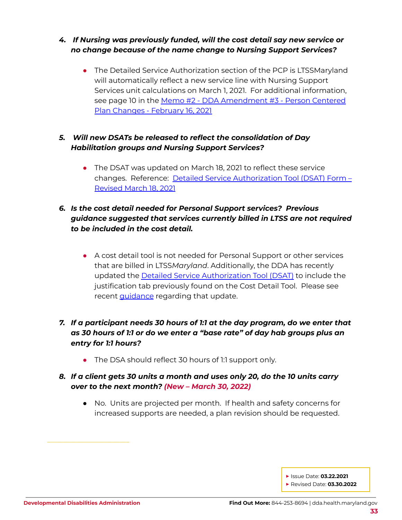## *4. If Nursing was previously funded, will the cost detail say new service or no change because of the name change to Nursing Support Services?*

• The Detailed Service Authorization section of the PCP is LTSSMaryland will automatically reflect a new service line with Nursing Support Services unit calculations on March 1, 2021. For additional information, see page 10 in the Memo #2 - DDA [Amendment](https://dda.health.maryland.gov/Documents/Waiver%20Documents/DDA%20Amendment%203%20-%202020%20Memo%20Guidance/Memo%202%20-%20DDA%20Amendment%203%20-%20Person%20Centered%20Plan%20Changes%20Final%20Feb%2016,%202021.pdf) #3 - Person Centered Plan Changes - [February](https://dda.health.maryland.gov/Documents/Waiver%20Documents/DDA%20Amendment%203%20-%202020%20Memo%20Guidance/Memo%202%20-%20DDA%20Amendment%203%20-%20Person%20Centered%20Plan%20Changes%20Final%20Feb%2016,%202021.pdf) 16, 2021

## *5. Will new DSATs be released to reflect the consolidation of Day Habilitation groups and Nursing Support Services?*

• The DSAT was updated on March 18, 2021 to reflect these service changes. Reference: Detailed Service [Authorization](https://dda.health.maryland.gov/Documents/Person-Centered%20Planning/3.18.21/DetailedServiceAuthorizationTool_Revised%203182021.zip) Tool (DSAT) Form – [Revised](https://dda.health.maryland.gov/Documents/Person-Centered%20Planning/3.18.21/DetailedServiceAuthorizationTool_Revised%203182021.zip) March 18, 2021

## *6. Is the cost detail needed for Personal Support services? Previous guidance suggested that services currently billed in LTSS are not required to be included in the cost detail.*

● A cost detail tool is not needed for Personal Support or other services that are billed in LTSS*Maryland*. Additionally, the DDA has recently updated the Detailed Service [Authorization](https://dda.health.maryland.gov/Pages/Person-Centered_Planning.aspx) Tool (DSAT) to include the justification tab previously found on the Cost Detail Tool. Please see recent **[guidance](https://dda.health.maryland.gov/Documents/What%27s%20New%20Page/20210604_DDA%20Communication%20Highlights_June%202021.pdf)** regarding that update.

## *7. If a participant needs 30 hours of 1:1 at the day program, do we enter that as 30 hours of 1:1 or do we enter a "base rate" of day hab groups plus an entry for 1:1 hours?*

• The DSA should reflect 30 hours of 1:1 support only.

#### *8. If a client gets 30 units a month and uses only 20, do the 10 units carry over to the next month? (New – March 30, 2022)*

● No. Units are projected per month. If health and safety concerns for increased supports are needed, a plan revision should be requested.

**▶** Issue Date: **03.22.2021**

**▶** Revised Date: **03.30.2022**

\_\_\_\_\_\_\_\_\_\_\_\_\_\_\_\_\_\_\_\_\_\_\_\_\_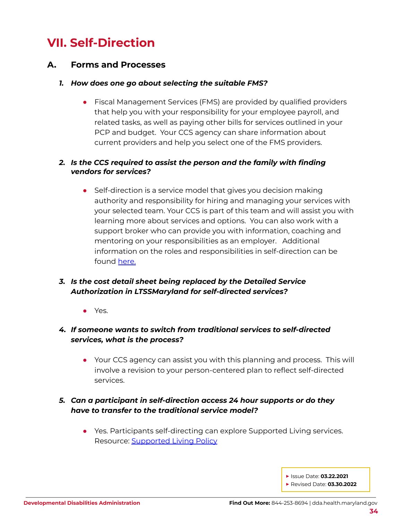## <span id="page-33-0"></span>**VII. Self-Direction**

## <span id="page-33-1"></span>**A. Forms and Processes**

#### *1. How does one go about selecting the suitable FMS?*

• Fiscal Management Services (FMS) are provided by qualified providers that help you with your responsibility for your employee payroll, and related tasks, as well as paying other bills for services outlined in your PCP and budget. Your CCS agency can share information about current providers and help you select one of the FMS providers.

#### *2. Is the CCS required to assist the person and the family with finding vendors for services?*

● Self-direction is a service model that gives you decision making authority and responsibility for hiring and managing your services with your selected team. Your CCS is part of this team and will assist you with learning more about services and options. You can also work with a support broker who can provide you with information, coaching and mentoring on your responsibilities as an employer. Additional information on the roles and responsibilities in self-direction can be found [here.](https://dda.health.maryland.gov/Documents/Self-Directed%20Services%20Guidance,%20Forms,%20and,%20Webinars/DDA%20Self%20Directed%20Services%20Handbook%20Final%20Feb%2010%202021.pdf)

## *3. Is the cost detail sheet being replaced by the Detailed Service Authorization in LTSSMaryland for self-directed services?*

● Yes.

## *4. If someone wants to switch from traditional services to self-directed services, what is the process?*

● Your CCS agency can assist you with this planning and process. This will involve a revision to your person-centered plan to reflect self-directed services.

## *5. Can a participant in self-direction access 24 hour supports or do they have to transfer to the traditional service model?*

● Yes. Participants self-directing can explore Supported Living services. Resource: [Supported](https://dhmh.policystat.com/?lt=FGOOt-k9bPID7nabPPUk8c&next=%2Fpolicy%2F9025798%2Flatest%2F) Living Policy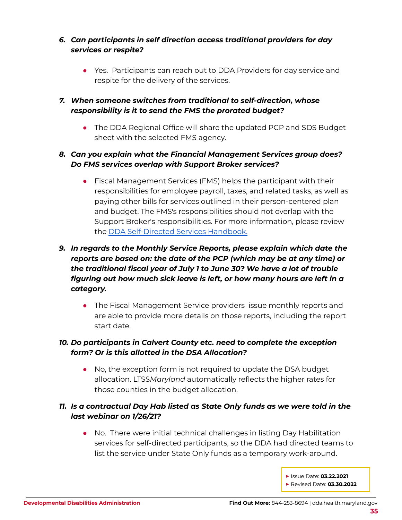## *6. Can participants in self direction access traditional providers for day services or respite?*

• Yes. Participants can reach out to DDA Providers for day service and respite for the delivery of the services.

#### *7. When someone switches from traditional to self-direction, whose responsibility is it to send the FMS the prorated budget?*

• The DDA Regional Office will share the updated PCP and SDS Budget sheet with the selected FMS agency.

## *8. Can you explain what the Financial Management Services group does? Do FMS services overlap with Support Broker services?*

• Fiscal Management Services (FMS) helps the participant with their responsibilities for employee payroll, taxes, and related tasks, as well as paying other bills for services outlined in their person-centered plan and budget. The FMS's responsibilities should not overlap with the Support Broker's responsibilities. For more information, please review the DDA [Self-Directed](https://health.maryland.gov/dda/Pages/sdforms.aspx) Services Handbook.

## *9. In regards to the Monthly Service Reports, please explain which date the reports are based on: the date of the PCP (which may be at any time) or the traditional fiscal year of July 1 to June 30? We have a lot of trouble figuring out how much sick leave is left, or how many hours are left in a category.*

• The Fiscal Management Service providers issue monthly reports and are able to provide more details on those reports, including the report start date.

## *10. Do participants in Calvert County etc. need to complete the exception form? Or is this allotted in the DSA Allocation?*

• No, the exception form is not required to update the DSA budget allocation. LTSS*Maryland* automatically reflects the higher rates for those counties in the budget allocation.

## *11. Is a contractual Day Hab listed as State Only funds as we were told in the last webinar on 1/26/21?*

● No. There were initial technical challenges in listing Day Habilitation services for self-directed participants, so the DDA had directed teams to list the service under State Only funds as a temporary work-around.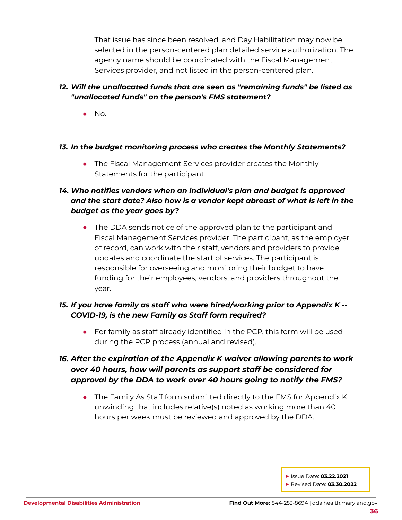That issue has since been resolved, and Day Habilitation may now be selected in the person-centered plan detailed service authorization. The agency name should be coordinated with the Fiscal Management Services provider, and not listed in the person-centered plan.

#### *12. Will the unallocated funds that are seen as "remaining funds" be listed as "unallocated funds" on the person's FMS statement?*

 $\bullet$  No.

#### *13. In the budget monitoring process who creates the Monthly Statements?*

• The Fiscal Management Services provider creates the Monthly Statements for the participant.

## *14. Who notifies vendors when an individual's plan and budget is approved and the start date? Also how is a vendor kept abreast of what is left in the budget as the year goes by?*

• The DDA sends notice of the approved plan to the participant and Fiscal Management Services provider. The participant, as the employer of record, can work with their staff, vendors and providers to provide updates and coordinate the start of services. The participant is responsible for overseeing and monitoring their budget to have funding for their employees, vendors, and providers throughout the year.

#### *15. If you have family as staff who were hired/working prior to Appendix K -- COVID-19, is the new Family as Staff form required?*

*●* For family as staff already identified in the PCP, this form will be used during the PCP process (annual and revised).

## *16. After the expiration of the Appendix K waiver allowing parents to work over 40 hours, how will parents as support staff be considered for approval by the DDA to work over 40 hours going to notify the FMS?*

• The Family As Staff form submitted directly to the FMS for Appendix K unwinding that includes relative(s) noted as working more than 40 hours per week must be reviewed and approved by the DDA.

**▶** Issue Date: **03.22.2021**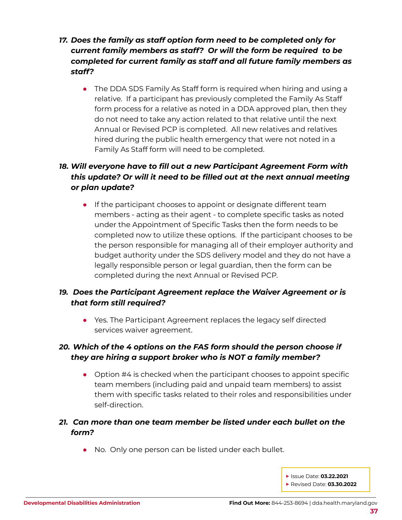- *17. Does the family as staff option form need to be completed only for current family members as staff? Or will the form be required to be completed for current family as staff and all future family members as staff?*
	- The DDA SDS Family As Staff form is required when hiring and using a relative. If a participant has previously completed the Family As Staff form process for a relative as noted in a DDA approved plan, then they do not need to take any action related to that relative until the next Annual or Revised PCP is completed. All new relatives and relatives hired during the public health emergency that were not noted in a Family As Staff form will need to be completed.

## *18. Will everyone have to fill out a new Participant Agreement Form with this update? Or will it need to be filled out at the next annual meeting or plan update?*

**•** If the participant chooses to appoint or designate different team members - acting as their agent - to complete specific tasks as noted under the Appointment of Specific Tasks then the form needs to be completed now to utilize these options. If the participant chooses to be the person responsible for managing all of their employer authority and budget authority under the SDS delivery model and they do not have a legally responsible person or legal guardian, then the form can be completed during the next Annual or Revised PCP.

## *19. Does the Participant Agreement replace the Waiver Agreement or is that form still required?*

• Yes. The Participant Agreement replaces the legacy self directed services waiver agreement.

## *20. Which of the 4 options on the FAS form should the person choose if they are hiring a support broker who is NOT a family member?*

 $\bullet$  Option #4 is checked when the participant chooses to appoint specific team members (including paid and unpaid team members) to assist them with specific tasks related to their roles and responsibilities under self-direction.

## *21. Can more than one team member be listed under each bullet on the form?*

- *●* No. Only one person can be listed under each bullet.
	- **▶** Issue Date: **03.22.2021 ▶** Revised Date: **03.30.2022**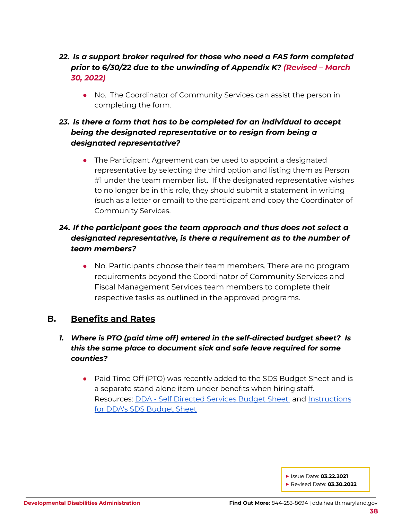## *22. Is a support broker required for those who need a FAS form completed prior to 6/30/22 due to the unwinding of Appendix K? (Revised – March 30, 2022)*

*●* No. The Coordinator of Community Services can assist the person in completing the form.

## *23. Is there a form that has to be completed for an individual to accept being the designated representative or to resign from being a designated representative?*

*●* The Participant Agreement can be used to appoint a designated representative by selecting the third option and listing them as Person #1 under the team member list. If the designated representative wishes to no longer be in this role, they should submit a statement in writing (such as a letter or email) to the participant and copy the Coordinator of Community Services.

## *24. If the participant goes the team approach and thus does not select a designated representative, is there a requirement as to the number of team members?*

*●* No. Participants choose their team members. There are no program requirements beyond the Coordinator of Community Services and Fiscal Management Services team members to complete their respective tasks as outlined in the approved programs.

## <span id="page-37-0"></span>**B. Benefits and Rates**

## *1. Where is PTO (paid time off) entered in the self-directed budget sheet? Is this the same place to document sick and safe leave required for some counties?*

● Paid Time Off (PTO) was recently added to the SDS Budget Sheet and is a separate stand alone item under benefits when hiring staff. Resources: **DDA - Self [Directed](https://health.maryland.gov/dda/Pages/sdforms.aspx) Services Budget Sheet** and [Instructions](https://health.maryland.gov/dda/Pages/sdforms.aspx) for DDA's SDS [Budget](https://health.maryland.gov/dda/Pages/sdforms.aspx) Sheet

**▶** Issue Date: **03.22.2021**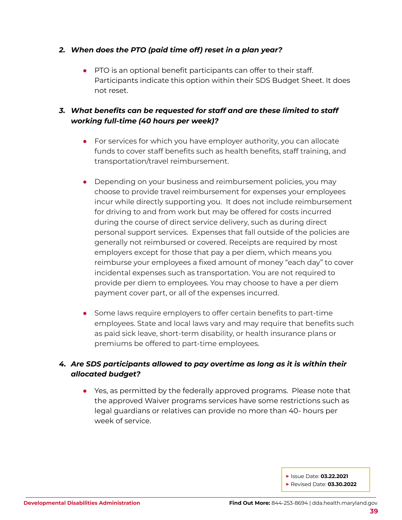#### *2. When does the PTO (paid time off) reset in a plan year?*

● PTO is an optional benefit participants can offer to their staff. Participants indicate this option within their SDS Budget Sheet. It does not reset.

## *3. What benefits can be requested for staff and are these limited to staff working full-time (40 hours per week)?*

- For services for which you have employer authority, you can allocate funds to cover staff benefits such as health benefits, staff training, and transportation/travel reimbursement.
- Depending on your business and reimbursement policies, you may choose to provide travel reimbursement for expenses your employees incur while directly supporting you. It does not include reimbursement for driving to and from work but may be offered for costs incurred during the course of direct service delivery, such as during direct personal support services. Expenses that fall outside of the policies are generally not reimbursed or covered. Receipts are required by most employers except for those that pay a per diem, which means you reimburse your employees a fixed amount of money "each day" to cover incidental expenses such as transportation. You are not required to provide per diem to employees. You may choose to have a per diem payment cover part, or all of the expenses incurred.
- Some laws require employers to offer certain benefits to part-time employees. State and local laws vary and may require that benefits such as paid sick leave, short-term disability, or health insurance plans or premiums be offered to part-time employees.

## *4. Are SDS participants allowed to pay overtime as long as it is within their allocated budget?*

• Yes, as permitted by the federally approved programs. Please note that the approved Waiver programs services have some restrictions such as legal guardians or relatives can provide no more than 40- hours per week of service.

**▶** Issue Date: **03.22.2021**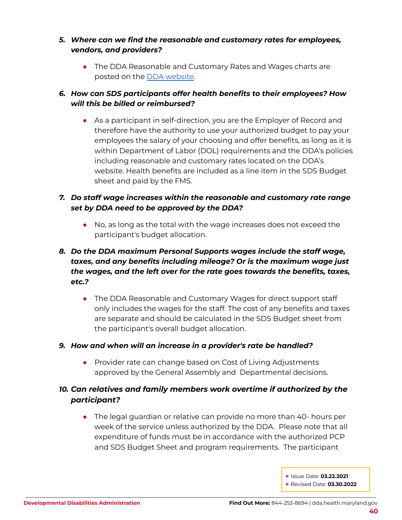#### *5. Where can we find the reasonable and customary rates for employees, vendors, and providers?*

• The DDA Reasonable and Customary Rates and Wages charts are posted on the DDA [website](https://health.maryland.gov/dda/Documents/Self-Directed%20Services%20Guidance%2c%20Forms%2c%20and%2c%20Webinars/5.5.21/DDA%20SDS%20-%20Reasonable%20Staff%20Wages%20%20Final%205-2-21.pdf).

## *6. How can SDS participants offer health benefits to their employees? How will this be billed or reimbursed?*

• As a participant in self-direction, you are the Employer of Record and therefore have the authority to use your authorized budget to pay your employees the salary of your choosing and offer benefits, as long as it is within Department of Labor (DOL) requirements and the DDA's policies including reasonable and customary rates located on the DDA's website. Health benefits are included as a line item in the SDS Budget sheet and paid by the FMS.

## *7. Do staff wage increases within the reasonable and customary rate range set by DDA need to be approved by the DDA?*

● No, as long as the total with the wage increases does not exceed the participant's budget allocation.

## *8. Do the DDA maximum Personal Supports wages include the staff wage, taxes, and any benefits including mileage? Or is the maximum wage just the wages, and the left over for the rate goes towards the benefits, taxes, etc.?*

• The DDA Reasonable and Customary Wages for direct support staff only includes the wages for the staff. The cost of any benefits and taxes are separate and should be calculated in the SDS Budget sheet from the participant's overall budget allocation.

#### *9. How and when will an increase in a provider's rate be handled?*

● Provider rate can change based on Cost of Living Adjustments approved by the General Assembly and Departmental decisions.

## *10. Can relatives and family members work overtime if authorized by the participant?*

• The legal guardian or relative can provide no more than 40- hours per week of the service unless authorized by the DDA. Please note that all expenditure of funds must be in accordance with the authorized PCP and SDS Budget Sheet and program requirements. The participant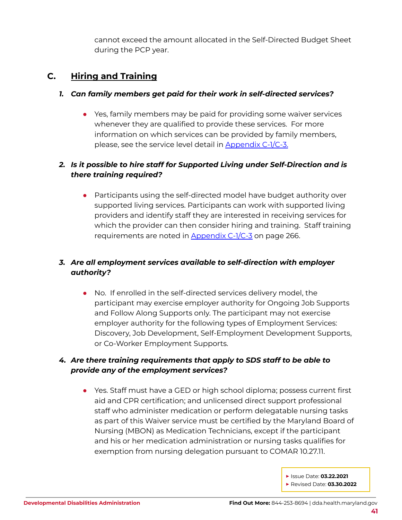cannot exceed the amount allocated in the Self-Directed Budget Sheet during the PCP year.

## <span id="page-40-0"></span>**C. Hiring and Training**

#### *1. Can family members get paid for their work in self-directed services?*

• Yes, family members may be paid for providing some waiver services whenever they are qualified to provide these services. For more information on which services can be provided by family members, please, see the service level detail in [Appendix](https://dda.health.maryland.gov/Documents/Waiver%20Documents/Community%20Pathways%20Waiver/CPW%20Amendment%203%20effective%20011921.PDF) C-1/C-3.

## *2. Is it possible to hire staff for Supported Living under Self-Direction and is there training required?*

*●* Participants using the self-directed model have budget authority over supported living services. Participants can work with supported living providers and identify staff they are interested in receiving services for which the provider can then consider hiring and training. Staff training requirements are noted in [Appendix](https://dda.health.maryland.gov/Documents/Waiver%20Documents/Community%20Pathways%20Waiver/CPW%20Amendment%203%20effective%20011921.PDF) C-1/C-3 on page 266.

## *3. Are all employment services available to self-direction with employer authority?*

*●* No. If enrolled in the self-directed services delivery model, the participant may exercise employer authority for Ongoing Job Supports and Follow Along Supports only. The participant may not exercise employer authority for the following types of Employment Services: Discovery, Job Development, Self-Employment Development Supports, or Co-Worker Employment Supports.

## *4. Are there training requirements that apply to SDS staff to be able to provide any of the employment services?*

*●* Yes. Staff must have a GED or high school diploma; possess current first aid and CPR certification; and unlicensed direct support professional staff who administer medication or perform delegatable nursing tasks as part of this Waiver service must be certified by the Maryland Board of Nursing (MBON) as Medication Technicians, except if the participant and his or her medication administration or nursing tasks qualifies for exemption from nursing delegation pursuant to COMAR 10.27.11.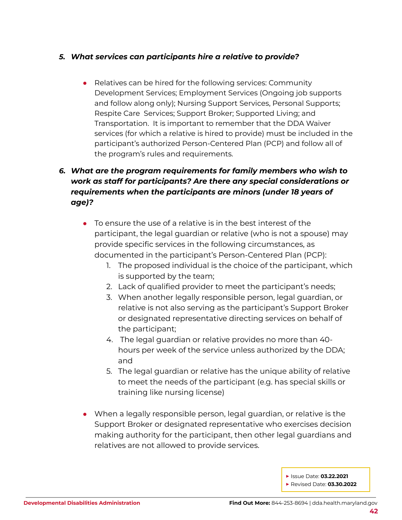#### *5. What services can participants hire a relative to provide?*

*●* Relatives can be hired for the following services: Community Development Services; Employment Services (Ongoing job supports and follow along only); Nursing Support Services, Personal Supports; Respite Care Services; Support Broker; Supported Living; and Transportation. It is important to remember that the DDA Waiver services (for which a relative is hired to provide) must be included in the participant's authorized Person-Centered Plan (PCP) and follow all of the program's rules and requirements.

## *6. What are the program requirements for family members who wish to work as staff for participants? Are there any special considerations or requirements when the participants are minors (under 18 years of age)?*

- *●* To ensure the use of a relative is in the best interest of the participant, the legal guardian or relative (who is not a spouse) may provide specific services in the following circumstances, as documented in the participant's Person-Centered Plan (PCP):
	- 1. The proposed individual is the choice of the participant, which is supported by the team;
	- 2. Lack of qualified provider to meet the participant's needs;
	- 3. When another legally responsible person, legal guardian, or relative is not also serving as the participant's Support Broker or designated representative directing services on behalf of the participant;
	- 4. The legal guardian or relative provides no more than 40 hours per week of the service unless authorized by the DDA; and
	- 5. The legal guardian or relative has the unique ability of relative to meet the needs of the participant (e.g. has special skills or training like nursing license)
- *●* When a legally responsible person, legal guardian, or relative is the Support Broker or designated representative who exercises decision making authority for the participant, then other legal guardians and relatives are not allowed to provide services.

**▶** Issue Date: **03.22.2021**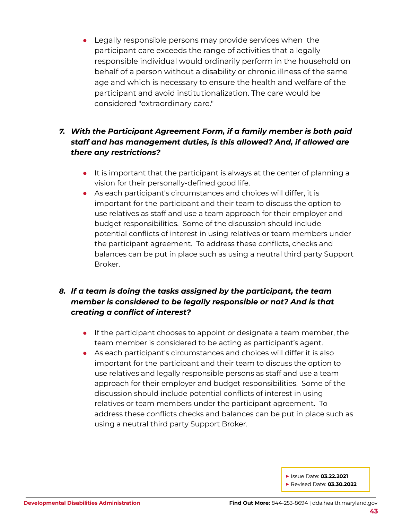*●* Legally responsible persons may provide services when the participant care exceeds the range of activities that a legally responsible individual would ordinarily perform in the household on behalf of a person without a disability or chronic illness of the same age and which is necessary to ensure the health and welfare of the participant and avoid institutionalization. The care would be considered "extraordinary care."

## *7. With the Participant Agreement Form, if a family member is both paid staff and has management duties, is this allowed? And, if allowed are there any restrictions?*

- *●* It is important that the participant is always at the center of planning a vision for their personally-defined good life.
- *●* As each participant's circumstances and choices will differ, it is important for the participant and their team to discuss the option to use relatives as staff and use a team approach for their employer and budget responsibilities. Some of the discussion should include potential conflicts of interest in using relatives or team members under the participant agreement. To address these conflicts, checks and balances can be put in place such as using a neutral third party Support Broker.

## *8. If a team is doing the tasks assigned by the participant, the team member is considered to be legally responsible or not? And is that creating a conflict of interest?*

- *●* If the participant chooses to appoint or designate a team member, the team member is considered to be acting as participant's agent.
- *●* As each participant's circumstances and choices will differ it is also important for the participant and their team to discuss the option to use relatives and legally responsible persons as staff and use a team approach for their employer and budget responsibilities. Some of the discussion should include potential conflicts of interest in using relatives or team members under the participant agreement. To address these conflicts checks and balances can be put in place such as using a neutral third party Support Broker.

**▶** Issue Date: **03.22.2021**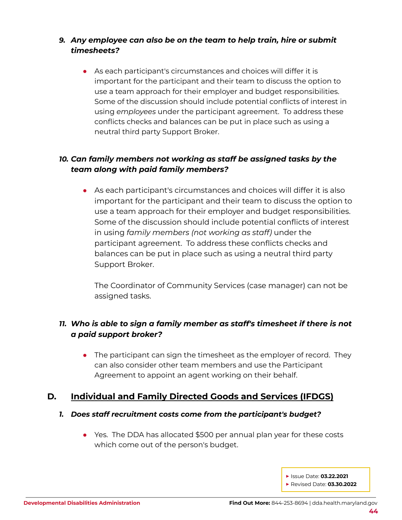## *9. Any employee can also be on the team to help train, hire or submit timesheets?*

*●* As each participant's circumstances and choices will differ it is important for the participant and their team to discuss the option to use a team approach for their employer and budget responsibilities. Some of the discussion should include potential conflicts of interest in using *employees* under the participant agreement. To address these conflicts checks and balances can be put in place such as using a neutral third party Support Broker.

## *10. Can family members not working as staff be assigned tasks by the team along with paid family members?*

*●* As each participant's circumstances and choices will differ it is also important for the participant and their team to discuss the option to use a team approach for their employer and budget responsibilities. Some of the discussion should include potential conflicts of interest in using *family members (not working as staff)* under the participant agreement. To address these conflicts checks and balances can be put in place such as using a neutral third party Support Broker.

The Coordinator of Community Services (case manager) can not be assigned tasks.

## *11. Who is able to sign a family member as staff's timesheet if there is not a paid support broker?*

• The participant can sign the timesheet as the employer of record. They can also consider other team members and use the Participant Agreement to appoint an agent working on their behalf.

## <span id="page-43-0"></span>**D. Individual and Family Directed Goods and Services (IFDGS)**

#### *1. Does staff recruitment costs come from the participant's budget?*

- Yes. The DDA has allocated \$500 per annual plan year for these costs which come out of the person's budget.
	- **▶** Issue Date: **03.22.2021 ▶** Revised Date: **03.30.2022**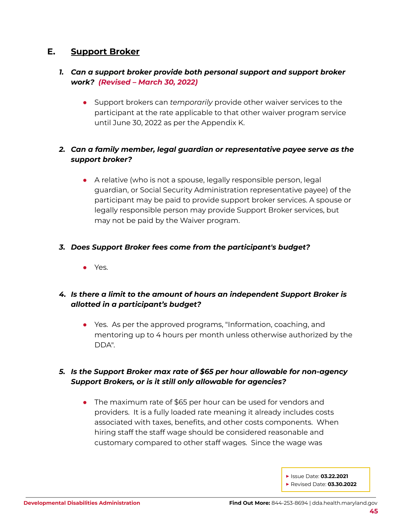## <span id="page-44-0"></span>**E. Support Broker**

#### *1. Can a support broker provide both personal support and support broker work? (Revised – March 30, 2022)*

● Support brokers can *temporarily* provide other waiver services to the participant at the rate applicable to that other waiver program service until June 30, 2022 as per the Appendix K.

## *2. Can a family member, legal guardian or representative payee serve as the support broker?*

• A relative (who is not a spouse, legally responsible person, legal guardian, or Social Security Administration representative payee) of the participant may be paid to provide support broker services. A spouse or legally responsible person may provide Support Broker services, but may not be paid by the Waiver program.

#### *3. Does Support Broker fees come from the participant's budget?*

● Yes.

## *4. Is there a limit to the amount of hours an independent Support Broker is allotted in a participant's budget?*

● Yes. As per the approved programs, "Information, coaching, and mentoring up to 4 hours per month unless otherwise authorized by the DDA".

## *5. Is the Support Broker max rate of \$65 per hour allowable for non-agency Support Brokers, or is it still only allowable for agencies?*

• The maximum rate of \$65 per hour can be used for vendors and providers. It is a fully loaded rate meaning it already includes costs associated with taxes, benefits, and other costs components. When hiring staff the staff wage should be considered reasonable and customary compared to other staff wages. Since the wage was

**▶** Issue Date: **03.22.2021**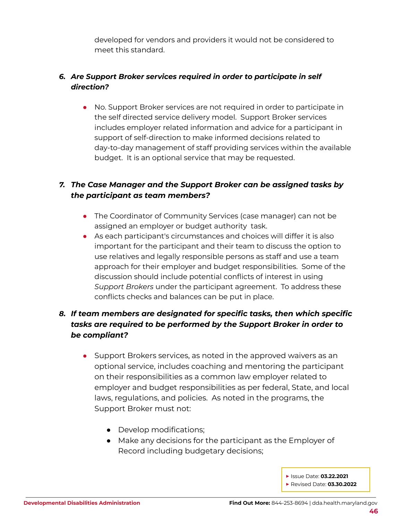developed for vendors and providers it would not be considered to meet this standard.

## *6. Are Support Broker services required in order to participate in self direction?*

● No. Support Broker services are not required in order to participate in the self directed service delivery model. Support Broker services includes employer related information and advice for a participant in support of self-direction to make informed decisions related to day-to-day management of staff providing services within the available budget. It is an optional service that may be requested.

## *7. The Case Manager and the Support Broker can be assigned tasks by the participant as team members?*

- The Coordinator of Community Services (case manager) can not be assigned an employer or budget authority task.
- As each participant's circumstances and choices will differ it is also important for the participant and their team to discuss the option to use relatives and legally responsible persons as staff and use a team approach for their employer and budget responsibilities. Some of the discussion should include potential conflicts of interest in using *Support Brokers* under the participant agreement. To address these conflicts checks and balances can be put in place.

## *8. If team members are designated for specific tasks, then which specific tasks are required to be performed by the Support Broker in order to be compliant?*

- Support Brokers services, as noted in the approved waivers as an optional service, includes coaching and mentoring the participant on their responsibilities as a common law employer related to employer and budget responsibilities as per federal, State, and local laws, regulations, and policies. As noted in the programs, the Support Broker must not:
	- Develop modifications;
	- Make any decisions for the participant as the Employer of Record including budgetary decisions;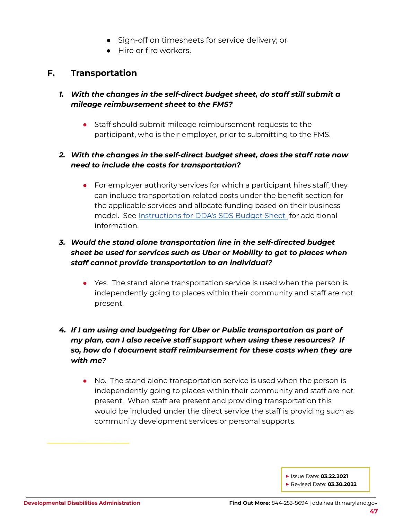- Sign-off on timesheets for service delivery; or
- Hire or fire workers.

## <span id="page-46-0"></span>**F. Transportation**

- *1. With the changes in the self-direct budget sheet, do staff still submit a mileage reimbursement sheet to the FMS?*
	- Staff should submit mileage reimbursement requests to the participant, who is their employer, prior to submitting to the FMS.

#### *2. With the changes in the self-direct budget sheet, does the staff rate now need to include the costs for transportation?*

• For employer authority services for which a participant hires staff, they can include transportation related costs under the benefit section for the applicable services and allocate funding based on their business model. See [Instructions](https://health.maryland.gov/dda/Pages/sdforms.aspx) for DDA's SDS Budget Sheet for additional information.

## *3. Would the stand alone transportation line in the self-directed budget sheet be used for services such as Uber or Mobility to get to places when staff cannot provide transportation to an individual?*

● Yes. The stand alone transportation service is used when the person is independently going to places within their community and staff are not present.

## *4. If I am using and budgeting for Uber or Public transportation as part of my plan, can I also receive staff support when using these resources? If so, how do I document staff reimbursement for these costs when they are with me?*

● No. The stand alone transportation service is used when the person is independently going to places within their community and staff are not present. When staff are present and providing transportation this would be included under the direct service the staff is providing such as community development services or personal supports.

**▶** Issue Date: **03.22.2021**

**▶** Revised Date: **03.30.2022**

\_\_\_\_\_\_\_\_\_\_\_\_\_\_\_\_\_\_\_\_\_\_\_\_\_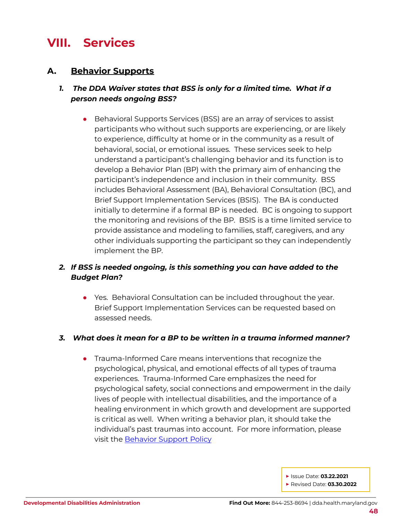## <span id="page-47-0"></span>**VIII. Services**

## <span id="page-47-1"></span>**A. Behavior Supports**

## *1. The DDA Waiver states that BSS is only for a limited time. What if a person needs ongoing BSS?*

● Behavioral Supports Services (BSS) are an array of services to assist participants who without such supports are experiencing, or are likely to experience, difficulty at home or in the community as a result of behavioral, social, or emotional issues. These services seek to help understand a participant's challenging behavior and its function is to develop a Behavior Plan (BP) with the primary aim of enhancing the participant's independence and inclusion in their community. BSS includes Behavioral Assessment (BA), Behavioral Consultation (BC), and Brief Support Implementation Services (BSIS). The BA is conducted initially to determine if a formal BP is needed. BC is ongoing to support the monitoring and revisions of the BP. BSIS is a time limited service to provide assistance and modeling to families, staff, caregivers, and any other individuals supporting the participant so they can independently implement the BP.

## *2. If BSS is needed ongoing, is this something you can have added to the Budget Plan?*

● Yes. Behavioral Consultation can be included throughout the year. Brief Support Implementation Services can be requested based on assessed needs.

#### *3. What does it mean for a BP to be written in a trauma informed manner?*

● Trauma-Informed Care means interventions that recognize the psychological, physical, and emotional effects of all types of trauma experiences. Trauma-Informed Care emphasizes the need for psychological safety, social connections and empowerment in the daily lives of people with intellectual disabilities, and the importance of a healing environment in which growth and development are supported is critical as well. When writing a behavior plan, it should take the individual's past traumas into account. For more information, please visit the [Behavior](https://dhmh.policystat.com/policy/9287179/latest/) Support Policy

**▶** Issue Date: **03.22.2021**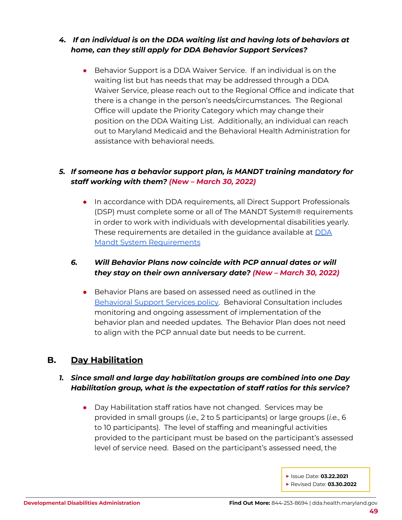## *4. If an individual is on the DDA waiting list and having lots of behaviors at home, can they still apply for DDA Behavior Support Services?*

● Behavior Support is a DDA Waiver Service. If an individual is on the waiting list but has needs that may be addressed through a DDA Waiver Service, please reach out to the Regional Office and indicate that there is a change in the person's needs/circumstances. The Regional Office will update the Priority Category which may change their position on the DDA Waiting List. Additionally, an individual can reach out to Maryland Medicaid and the Behavioral Health Administration for assistance with behavioral needs.

## *5. If someone has a behavior support plan, is MANDT training mandatory for staff working with them? (New – March 30, 2022)*

● In accordance with DDA requirements, all Direct Support Professionals (DSP) must complete some or all of The MANDT System® requirements in order to work with individuals with developmental disabilities yearly. These requirements are detailed in the guidance available at [DDA](https://health.maryland.gov/dda/Documents/COVID%2019%20Documents/Memos%20Guidance/9.27.21/DDA%20Mandt%20%20System%C2%AE%20Requirements%20At%20a%20Glance%2009.17.21.pdf#search=mandt) Mandt System [Requirements](https://health.maryland.gov/dda/Documents/COVID%2019%20Documents/Memos%20Guidance/9.27.21/DDA%20Mandt%20%20System%C2%AE%20Requirements%20At%20a%20Glance%2009.17.21.pdf#search=mandt)

#### *6. Will Behavior Plans now coincide with PCP annual dates or will they stay on their own anniversary date? (New – March 30, 2022)*

● Behavior Plans are based on assessed need as outlined in the [Behavioral](https://dhmh.policystat.com/?lt=FGOOt-k9bPID7nabPPUk8c&next=%2Fpolicy%2F10361356%2Flatest%2F) Support Services policy. Behavioral Consultation includes monitoring and ongoing assessment of implementation of the behavior plan and needed updates. The Behavior Plan does not need to align with the PCP annual date but needs to be current.

## <span id="page-48-0"></span>**B. Day Habilitation**

#### *1. Since small and large day habilitation groups are combined into one Day Habilitation group, what is the expectation of staff ratios for this service?*

Day Habilitation staff ratios have not changed. Services may be provided in small groups (*i.e.,* 2 to 5 participants) or large groups (*i.e.*, 6 to 10 participants). The level of staffing and meaningful activities provided to the participant must be based on the participant's assessed level of service need. Based on the participant's assessed need, the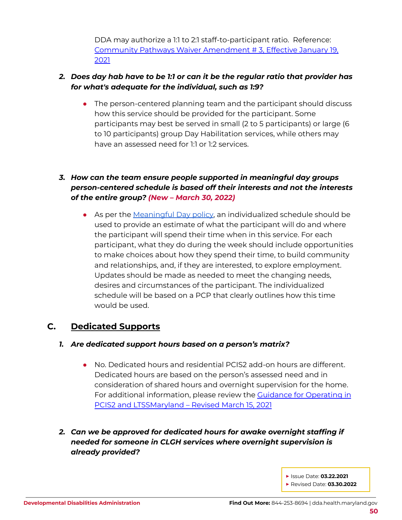DDA may authorize a 1:1 to 2:1 staff-to-participant ratio. Reference: Community Pathways Waiver [Amendment](https://dda.health.maryland.gov/Documents/Waiver%20Documents/Community%20Pathways%20Waiver/CPW%20Amendment%203%20effective%20011921.PDF) # 3, Effective January 19, [2021](https://dda.health.maryland.gov/Documents/Waiver%20Documents/Community%20Pathways%20Waiver/CPW%20Amendment%203%20effective%20011921.PDF)

## *2. Does day hab have to be 1:1 or can it be the regular ratio that provider has for what's adequate for the individual, such as 1:9?*

• The person-centered planning team and the participant should discuss how this service should be provided for the participant. Some participants may best be served in small (2 to 5 participants) or large (6 to 10 participants) group Day Habilitation services, while others may have an assessed need for 1:1 or 1:2 services.

## *3. How can the team ensure people supported in meaningful day groups person-centered schedule is based off their interests and not the interests of the entire group? (New – March 30, 2022)*

● As per the [Meaningful](https://dhmh.policystat.com/?lt=FGOOt-k9bPID7nabPPUk8c&next=%2Fpolicy%2F10361533%2Flatest%2F) Day policy, an individualized schedule should be used to provide an estimate of what the participant will do and where the participant will spend their time when in this service. For each participant, what they do during the week should include opportunities to make choices about how they spend their time, to build community and relationships, and, if they are interested, to explore employment. Updates should be made as needed to meet the changing needs, desires and circumstances of the participant. The individualized schedule will be based on a PCP that clearly outlines how this time would be used.

## <span id="page-49-0"></span>**C. Dedicated Supports**

#### *1. Are dedicated support hours based on a person's matrix?*

- No. Dedicated hours and residential PCIS2 add-on hours are different. Dedicated hours are based on the person's assessed need and in consideration of shared hours and overnight supervision for the home. For additional information, please review the Guidance for [Operating](https://dda.health.maryland.gov/Documents/Transformation/At%20a%20Glance%20Documents/3.15.21/GuidanceForTheJuly1-2020Transition-Revised%20March%2015,%202021.pdf) in PCIS2 and [LTSSMaryland](https://dda.health.maryland.gov/Documents/Transformation/At%20a%20Glance%20Documents/3.15.21/GuidanceForTheJuly1-2020Transition-Revised%20March%2015,%202021.pdf) – Revised March 15, 2021
- *2. Can we be approved for dedicated hours for awake overnight staffing if needed for someone in CLGH services where overnight supervision is already provided?*
	- **▶** Issue Date: **03.22.2021 ▶** Revised Date: **03.30.2022**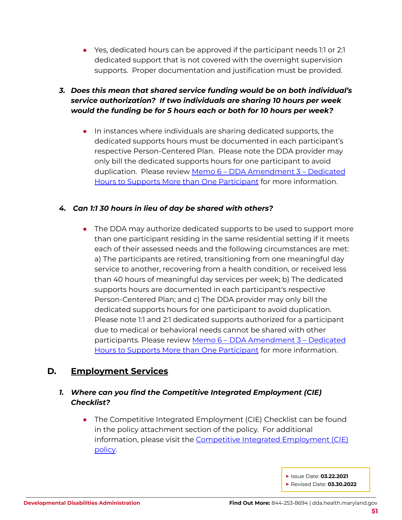● Yes, dedicated hours can be approved if the participant needs 1:1 or 2:1 dedicated support that is not covered with the overnight supervision supports. Proper documentation and justification must be provided.

## *3. Does this mean that shared service funding would be on both individual's service authorization? If two individuals are sharing 10 hours per week would the funding be for 5 hours each or both for 10 hours per week?*

● In instances where individuals are sharing dedicated supports, the dedicated supports hours must be documented in each participant's respective Person-Centered Plan. Please note the DDA provider may only bill the dedicated supports hours for one participant to avoid duplication. Please review Memo 6 – DDA [Amendment](https://dda.health.maryland.gov/Documents/Waiver%20Documents/DDA%20Amendment%203%20-%202020%20Memo%20Guidance/Memo%206%20-%20DDA%20Amendment%203%20-%20%20Dedicated%20Hours%20to%20Support%20More%20than%20One%20Participant%20Final%20Feb%2016%202021.pdf) 3 – Dedicated Hours to Supports More than One [Participant](https://dda.health.maryland.gov/Documents/Waiver%20Documents/DDA%20Amendment%203%20-%202020%20Memo%20Guidance/Memo%206%20-%20DDA%20Amendment%203%20-%20%20Dedicated%20Hours%20to%20Support%20More%20than%20One%20Participant%20Final%20Feb%2016%202021.pdf) for more information.

#### *4. Can 1:1 30 hours in lieu of day be shared with others?*

• The DDA may authorize dedicated supports to be used to support more than one participant residing in the same residential setting if it meets each of their assessed needs and the following circumstances are met: a) The participants are retired, transitioning from one meaningful day service to another, recovering from a health condition, or received less than 40 hours of meaningful day services per week; b) The dedicated supports hours are documented in each participant's respective Person-Centered Plan; and c) The DDA provider may only bill the dedicated supports hours for one participant to avoid duplication. Please note 1:1 and 2:1 dedicated supports authorized for a participant due to medical or behavioral needs cannot be shared with other participants. Please review Memo 6 – DDA [Amendment](https://dda.health.maryland.gov/Documents/Waiver%20Documents/DDA%20Amendment%203%20-%202020%20Memo%20Guidance/Memo%206%20-%20DDA%20Amendment%203%20-%20%20Dedicated%20Hours%20to%20Support%20More%20than%20One%20Participant%20Final%20Feb%2016%202021.pdf) 3 – Dedicated Hours to Supports More than One [Participant](https://dda.health.maryland.gov/Documents/Waiver%20Documents/DDA%20Amendment%203%20-%202020%20Memo%20Guidance/Memo%206%20-%20DDA%20Amendment%203%20-%20%20Dedicated%20Hours%20to%20Support%20More%20than%20One%20Participant%20Final%20Feb%2016%202021.pdf) for more information.

## <span id="page-50-0"></span>**D. Employment Services**

## *1. Where can you find the Competitive Integrated Employment (CIE) Checklist?*

The Competitive Integrated Employment (CIE) Checklist can be found in the policy attachment section of the policy. For additional information, please visit the Competitive Integrated [Employment](https://dhmh.policystat.com/policy/8339760/latest/) (CIE) [policy](https://dhmh.policystat.com/policy/8339760/latest/).

**▶** Issue Date: **03.22.2021**

**▶** Revised Date: **03.30.2022**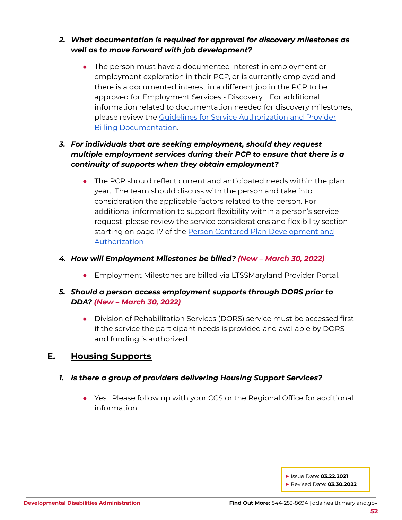## *2. What documentation is required for approval for discovery milestones as well as to move forward with job development?*

• The person must have a documented interest in employment or employment exploration in their PCP, or is currently employed and there is a documented interest in a different job in the PCP to be approved for Employment Services - Discovery. For additional information related to documentation needed for discovery milestones, please review the Guidelines for Service [Authorization](https://health.maryland.gov/dda/Pages/Person-Centered_Planning.aspx) and Provider Billing [Documentation.](https://health.maryland.gov/dda/Pages/Person-Centered_Planning.aspx)

## *3. For individuals that are seeking employment, should they request multiple employment services during their PCP to ensure that there is a continuity of supports when they obtain employment?*

• The PCP should reflect current and anticipated needs within the plan year. The team should discuss with the person and take into consideration the applicable factors related to the person. For additional information to support flexibility within a person's service request, please review the service considerations and flexibility section starting on page 17 of the Person Centered Plan [Development](https://health.maryland.gov/dda/Pages/Person-Centered_Planning.aspx) and [Authorization](https://health.maryland.gov/dda/Pages/Person-Centered_Planning.aspx)

#### *4. How will Employment Milestones be billed? (New – March 30, 2022)*

**•** Employment Milestones are billed via LTSSMaryland Provider Portal.

## *5. Should a person access employment supports through DORS prior to DDA? (New – March 30, 2022)*

● Division of Rehabilitation Services (DORS) service must be accessed first if the service the participant needs is provided and available by DORS and funding is authorized

## <span id="page-51-0"></span>**E. Housing Supports**

## *1. Is there a group of providers delivering Housing Support Services?*

• Yes. Please follow up with your CCS or the Regional Office for additional information.

**▶** Issue Date: **03.22.2021**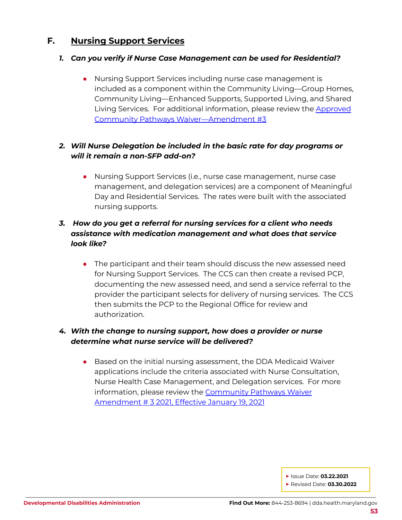## <span id="page-52-0"></span>**F. Nursing Support Services**

#### *1. Can you verify if Nurse Case Management can be used for Residential?*

● Nursing Support Services including nurse case management is included as a component within the Community Living—Group Homes, Community Living—Enhanced Supports, Supported Living, and Shared Living Services. For additional information, please review the [Approved](https://dda.health.maryland.gov/Documents/Waiver%20Documents/Community%20Pathways%20Waiver/CPW%20Amendment%203%20effective%20011921.PDF) Community Pathways [Waiver—Amendment](https://dda.health.maryland.gov/Documents/Waiver%20Documents/Community%20Pathways%20Waiver/CPW%20Amendment%203%20effective%20011921.PDF) #3

## *2. Will Nurse Delegation be included in the basic rate for day programs or will it remain a non-SFP add-on?*

● Nursing Support Services (i.e., nurse case management, nurse case management, and delegation services) are a component of Meaningful Day and Residential Services. The rates were built with the associated nursing supports.

## *3. How do you get a referral for nursing services for a client who needs assistance with medication management and what does that service look like?*

• The participant and their team should discuss the new assessed need for Nursing Support Services. The CCS can then create a revised PCP, documenting the new assessed need, and send a service referral to the provider the participant selects for delivery of nursing services. The CCS then submits the PCP to the Regional Office for review and authorization.

#### *4. With the change to nursing support, how does a provider or nurse determine what nurse service will be delivered?*

• Based on the initial nursing assessment, the DDA Medicaid Waiver applications include the criteria associated with Nurse Consultation, Nurse Health Case Management, and Delegation services. For more information, please review the [Community](https://dda.health.maryland.gov/Documents/Waiver%20Documents/Community%20Pathways%20Waiver/CPW%20Amendment%203%20effective%20011921.PDF) Pathways Waiver [Amendment](https://dda.health.maryland.gov/Documents/Waiver%20Documents/Community%20Pathways%20Waiver/CPW%20Amendment%203%20effective%20011921.PDF) # 3 2021, Effective January 19, 2021

**▶** Issue Date: **03.22.2021**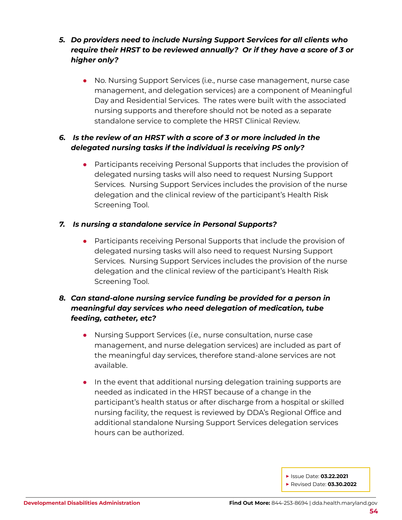## *5. Do providers need to include Nursing Support Services for all clients who require their HRST to be reviewed annually? Or if they have a score of 3 or higher only?*

● No. Nursing Support Services (i.e., nurse case management, nurse case management, and delegation services) are a component of Meaningful Day and Residential Services. The rates were built with the associated nursing supports and therefore should not be noted as a separate standalone service to complete the HRST Clinical Review.

## *6. Is the review of an HRST with a score of 3 or more included in the delegated nursing tasks if the individual is receiving PS only?*

Participants receiving Personal Supports that includes the provision of delegated nursing tasks will also need to request Nursing Support Services. Nursing Support Services includes the provision of the nurse delegation and the clinical review of the participant's Health Risk Screening Tool.

#### *7. Is nursing a standalone service in Personal Supports?*

● Participants receiving Personal Supports that include the provision of delegated nursing tasks will also need to request Nursing Support Services. Nursing Support Services includes the provision of the nurse delegation and the clinical review of the participant's Health Risk Screening Tool.

## *8. Can stand-alone nursing service funding be provided for a person in meaningful day services who need delegation of medication, tube feeding, catheter, etc?*

- Nursing Support Services (*i.e.,* nurse consultation, nurse case management, and nurse delegation services) are included as part of the meaningful day services, therefore stand-alone services are not available.
- In the event that additional nursing delegation training supports are needed as indicated in the HRST because of a change in the participant's health status or after discharge from a hospital or skilled nursing facility, the request is reviewed by DDA's Regional Office and additional standalone Nursing Support Services delegation services hours can be authorized.

**▶** Issue Date: **03.22.2021**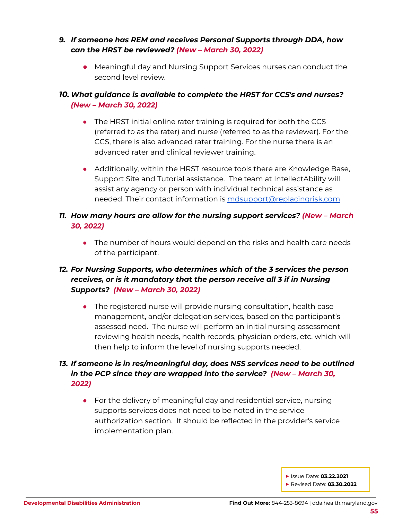#### *9. If someone has REM and receives Personal Supports through DDA, how can the HRST be reviewed? (New – March 30, 2022)*

● Meaningful day and Nursing Support Services nurses can conduct the second level review.

## *10. What guidance is available to complete the HRST for CCS's and nurses? (New – March 30, 2022)*

- The HRST initial online rater training is required for both the CCS (referred to as the rater) and nurse (referred to as the reviewer). For the CCS, there is also advanced rater training. For the nurse there is an advanced rater and clinical reviewer training.
- Additionally, within the HRST resource tools there are Knowledge Base, Support Site and Tutorial assistance. The team at IntellectAbility will assist any agency or person with individual technical assistance as needed. Their contact information is [mdsupport@replacingrisk.com](mailto:mdsupport@replacingrisk.com)
- *11. How many hours are allow for the nursing support services? (New – March 30, 2022)*
	- The number of hours would depend on the risks and health care needs of the participant.

## *12. For Nursing Supports, who determines which of the 3 services the person receives, or is it mandatory that the person receive all 3 if in Nursing Supports? (New – March 30, 2022)*

• The registered nurse will provide nursing consultation, health case management, and/or delegation services, based on the participant's assessed need. The nurse will perform an initial nursing assessment reviewing health needs, health records, physician orders, etc. which will then help to inform the level of nursing supports needed.

## *13. If someone is in res/meaningful day, does NSS services need to be outlined in the PCP since they are wrapped into the service? (New – March 30, 2022)*

● For the delivery of meaningful day and residential service, nursing supports services does not need to be noted in the service authorization section. It should be reflected in the provider's service implementation plan.

**▶** Issue Date: **03.22.2021**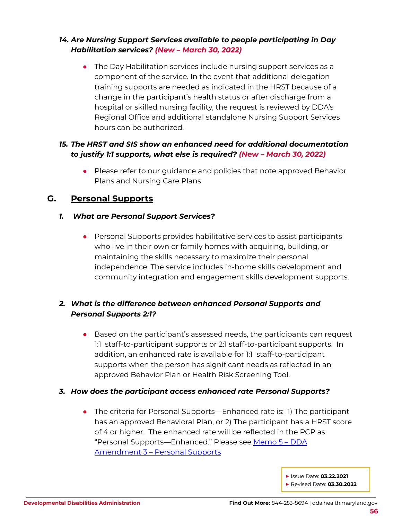## *14. Are Nursing Support Services available to people participating in Day Habilitation services? (New – March 30, 2022)*

• The Day Habilitation services include nursing support services as a component of the service. In the event that additional delegation training supports are needed as indicated in the HRST because of a change in the participant's health status or after discharge from a hospital or skilled nursing facility, the request is reviewed by DDA's Regional Office and additional standalone Nursing Support Services hours can be authorized.

#### *15. The HRST and SIS show an enhanced need for additional documentation to justify 1:1 supports, what else is required? (New – March 30, 2022)*

● Please refer to our quidance and policies that note approved Behavior Plans and Nursing Care Plans

## <span id="page-55-0"></span>**G. Personal Supports**

#### *1. What are Personal Support Services?*

• Personal Supports provides habilitative services to assist participants who live in their own or family homes with acquiring, building, or maintaining the skills necessary to maximize their personal independence. The service includes in-home skills development and community integration and engagement skills development supports.

## *2. What is the difference between enhanced Personal Supports and Personal Supports 2:1?*

● Based on the participant's assessed needs, the participants can request 1:1 staff-to-participant supports or 2:1 staff-to-participant supports. In addition, an enhanced rate is available for 1:1 staff-to-participant supports when the person has significant needs as reflected in an approved Behavior Plan or Health Risk Screening Tool.

#### *3. How does the participant access enhanced rate Personal Supports?*

● The criteria for Personal Supports—Enhanced rate is: 1) The participant has an approved Behavioral Plan, or 2) The participant has a HRST score of 4 or higher. The enhanced rate will be reflected in the PCP as "Personal Supports—Enhanced." Please see [Memo](https://dda.health.maryland.gov/Documents/Waiver%20Documents/DDA%20Amendment%203%20-%202020%20Memo%20Guidance/Memo%205%20-%20DDA%20Amendment%203%20-%20%20Personal%20Supports%20Final%20Draft%202-14-2021.pdf) 5 – DDA [Amendment](https://dda.health.maryland.gov/Documents/Waiver%20Documents/DDA%20Amendment%203%20-%202020%20Memo%20Guidance/Memo%205%20-%20DDA%20Amendment%203%20-%20%20Personal%20Supports%20Final%20Draft%202-14-2021.pdf) 3 – Personal Supports

**▶** Issue Date: **03.22.2021**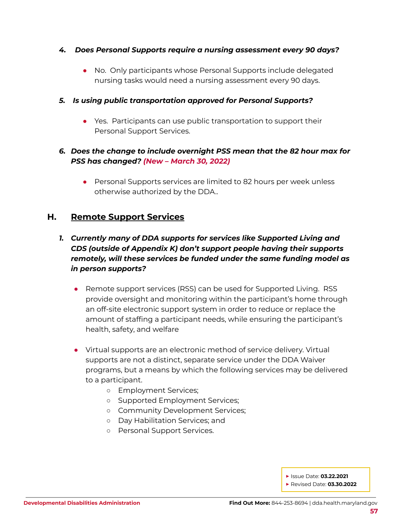#### *4. Does Personal Supports require a nursing assessment every 90 days?*

● No. Only participants whose Personal Supports include delegated nursing tasks would need a nursing assessment every 90 days.

#### *5. Is using public transportation approved for Personal Supports?*

- Yes. Participants can use public transportation to support their Personal Support Services.
- *6. Does the change to include overnight PSS mean that the 82 hour max for PSS has changed? (New – March 30, 2022)*
	- Personal Supports services are limited to 82 hours per week unless otherwise authorized by the DDA..

## <span id="page-56-0"></span>**H. Remote Support Services**

## *1. Currently many of DDA supports for services like Supported Living and CDS (outside of Appendix K) don't support people having their supports remotely, will these services be funded under the same funding model as in person supports?*

- Remote support services (RSS) can be used for Supported Living. RSS provide oversight and monitoring within the participant's home through an off-site electronic support system in order to reduce or replace the amount of staffing a participant needs, while ensuring the participant's health, safety, and welfare
- Virtual supports are an electronic method of service delivery. Virtual supports are not a distinct, separate service under the DDA Waiver programs, but a means by which the following services may be delivered to a participant.
	- Employment Services;
	- Supported Employment Services;
	- Community Development Services;
	- Day Habilitation Services; and
	- Personal Support Services.

**▶** Issue Date: **03.22.2021**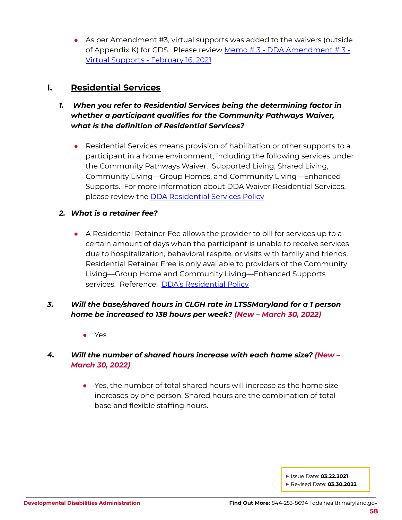• As per Amendment #3, virtual supports was added to the waivers (outside of Appendix K) for CDS. Please review Memo # 3 - DDA [Amendment](https://dda.health.maryland.gov/Documents/Waiver%20Documents/DDA%20Amendment%203%20-%202020%20Memo%20Guidance/Memo%203%20-%20DDA%20Amendment%203%20-%20Virtual%20Supports%20Final%20Feb%2016,%202021.pdf) # 3 - Virtual [Supports](https://dda.health.maryland.gov/Documents/Waiver%20Documents/DDA%20Amendment%203%20-%202020%20Memo%20Guidance/Memo%203%20-%20DDA%20Amendment%203%20-%20Virtual%20Supports%20Final%20Feb%2016,%202021.pdf) - February 16, 2021

## <span id="page-57-0"></span>**I. Residential Services**

- *1. When you refer to Residential Services being the determining factor in whether a participant qualifies for the Community Pathways Waiver, what is the definition of Residential Services?*
	- Residential Services means provision of habilitation or other supports to a participant in a home environment, including the following services under the Community Pathways Waiver. Supported Living, Shared Living, Community Living—Group Homes, and Community Living—Enhanced Supports. For more information about DDA Waiver Residential Services, please review the **DDA [Residential](https://dhmh.policystat.com/policy/9025244/latest/) Services Policy**

#### *2. What is a retainer fee?*

● A Residential Retainer Fee allows the provider to bill for services up to a certain amount of days when the participant is unable to receive services due to hospitalization, behavioral respite, or visits with family and friends. Residential Retainer Free is only available to providers of the Community Living—Group Home and Community Living—Enhanced Supports services. Reference: **DDA's [Residential](https://dhmh.policystat.com/?lt=FGOOt-k9bPID7nabPPUk8c&next=%2Fpolicy%2F9025244%2Flatest%2F) Policy** 

## *3. Will the base/shared hours in CLGH rate in LTSSMaryland for a 1 person home be increased to 138 hours per week? (New – March 30, 2022)*

● Yes

## *4. Will the number of shared hours increase with each home size? (New – March 30, 2022)*

● Yes, the number of total shared hours will increase as the home size increases by one person. Shared hours are the combination of total base and flexible staffing hours.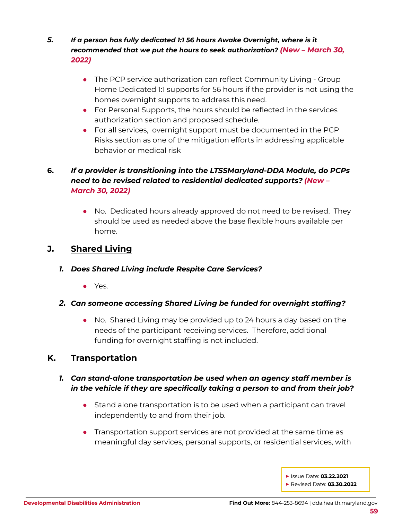- *5. If a person has fully dedicated 1:1 56 hours Awake Overnight, where is it recommended that we put the hours to seek authorization? (New – March 30, 2022)*
	- The PCP service authorization can reflect Community Living Group Home Dedicated 1:1 supports for 56 hours if the provider is not using the homes overnight supports to address this need.
	- For Personal Supports, the hours should be reflected in the services authorization section and proposed schedule.
	- For all services, overnight support must be documented in the PCP Risks section as one of the mitigation efforts in addressing applicable behavior or medical risk

## **6.** *If a provider is transitioning into the LTSSMaryland-DDA Module, do PCPs need to be revised related to residential dedicated supports? (New – March 30, 2022)*

• No. Dedicated hours already approved do not need to be revised. They should be used as needed above the base flexible hours available per home.

## <span id="page-58-0"></span>**J. Shared Living**

- *1. Does Shared Living include Respite Care Services?*
	- Yes.
- *2. Can someone accessing Shared Living be funded for overnight staffing?*
	- No. Shared Living may be provided up to 24 hours a day based on the needs of the participant receiving services. Therefore, additional funding for overnight staffing is not included.

## <span id="page-58-1"></span>**K. Transportation**

## *1. Can stand-alone transportation be used when an agency staff member is in the vehicle if they are specifically taking a person to and from their job?*

- Stand alone transportation is to be used when a participant can travel independently to and from their job.
- Transportation support services are not provided at the same time as meaningful day services, personal supports, or residential services, with
	- **▶** Issue Date: **03.22.2021 ▶** Revised Date: **03.30.2022**
	-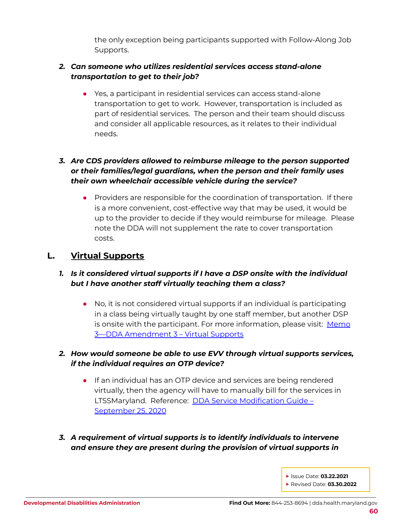the only exception being participants supported with Follow-Along Job Supports.

## *2. Can someone who utilizes residential services access stand-alone transportation to get to their job?*

● Yes, a participant in residential services can access stand-alone transportation to get to work. However, transportation is included as part of residential services. The person and their team should discuss and consider all applicable resources, as it relates to their individual needs.

## *3. Are CDS providers allowed to reimburse mileage to the person supported or their families/legal guardians, when the person and their family uses their own wheelchair accessible vehicle during the service?*

• Providers are responsible for the coordination of transportation. If there is a more convenient, cost-effective way that may be used, it would be up to the provider to decide if they would reimburse for mileage. Please note the DDA will not supplement the rate to cover transportation costs.

## <span id="page-59-0"></span>**L. Virtual Supports**

#### *1. Is it considered virtual supports if I have a DSP onsite with the individual but I have another staff virtually teaching them a class?*

● No, it is not considered virtual supports if an individual is participating in a class being virtually taught by one staff member, but another DSP is onsite with the participant. For more information, please visit: [Memo](https://dda.health.maryland.gov/Documents/Waiver%20Documents/DDA%20Amendment%203%20-%202020%20Memo%20Guidance/Memo%203%20-%20DDA%20Amendment%203%20-%20Virtual%20Supports%20Final%20Feb%2016,%202021.pdf) 3—DDA [Amendment](https://dda.health.maryland.gov/Documents/Waiver%20Documents/DDA%20Amendment%203%20-%202020%20Memo%20Guidance/Memo%203%20-%20DDA%20Amendment%203%20-%20Virtual%20Supports%20Final%20Feb%2016,%202021.pdf) 3 – Virtual Supports

## *2. How would someone be able to use EVV through virtual supports services, if the individual requires an OTP device?*

- If an individual has an OTP device and services are being rendered virtually, then the agency will have to manually bill for the services in LTSSMaryland. Reference: **DDA Service [Modification](https://dda.health.maryland.gov/Documents/EVV/9.30.20/DDA%20Service%20Modification%20Guide%20V4.3%209-25-2020%20(F).pdf) Guide** -[September](https://dda.health.maryland.gov/Documents/EVV/9.30.20/DDA%20Service%20Modification%20Guide%20V4.3%209-25-2020%20(F).pdf) 25, 2020
- *3. A requirement of virtual supports is to identify individuals to intervene and ensure they are present during the provision of virtual supports in*
	- **▶** Issue Date: **03.22.2021 ▶** Revised Date: **03.30.2022**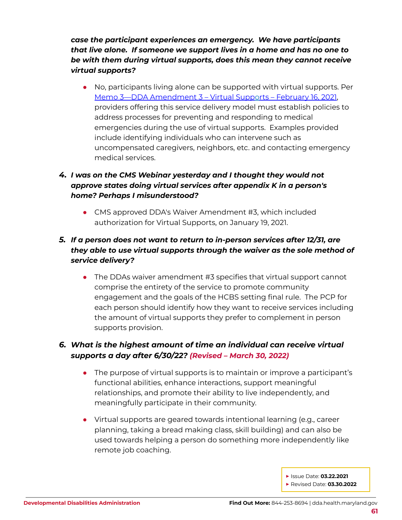*case the participant experiences an emergency. We have participants that live alone. If someone we support lives in a home and has no one to be with them during virtual supports, does this mean they cannot receive virtual supports?*

• No, participants living alone can be supported with virtual supports. Per Memo 3—DDA [Amendment](https://dda.health.maryland.gov/Documents/Waiver%20Documents/DDA%20Amendment%203%20-%202020%20Memo%20Guidance/Memo%203%20-%20DDA%20Amendment%203%20-%20Virtual%20Supports%20Final%20Feb%2016,%202021.pdf) 3 – Virtual Supports – February 16, 2021, providers offering this service delivery model must establish policies to address processes for preventing and responding to medical emergencies during the use of virtual supports. Examples provided include identifying individuals who can intervene such as uncompensated caregivers, neighbors, etc. and contacting emergency medical services.

## *4. I was on the CMS Webinar yesterday and I thought they would not approve states doing virtual services after appendix K in a person's home? Perhaps I misunderstood?*

• CMS approved DDA's Waiver Amendment #3, which included authorization for Virtual Supports, on January 19, 2021.

## *5. If a person does not want to return to in-person services after 12/31, are they able to use virtual supports through the waiver as the sole method of service delivery?*

• The DDAs waiver amendment #3 specifies that virtual support cannot comprise the entirety of the service to promote community engagement and the goals of the HCBS setting final rule. The PCP for each person should identify how they want to receive services including the amount of virtual supports they prefer to complement in person supports provision.

## *6. What is the highest amount of time an individual can receive virtual supports a day after 6/30/22? (Revised – March 30, 2022)*

- The purpose of virtual supports is to maintain or improve a participant's functional abilities, enhance interactions, support meaningful relationships, and promote their ability to live independently, and meaningfully participate in their community.
- Virtual supports are geared towards intentional learning (e.g., career planning, taking a bread making class, skill building) and can also be used towards helping a person do something more independently like remote job coaching.

**▶** Issue Date: **03.22.2021**

**▶** Revised Date: **03.30.2022**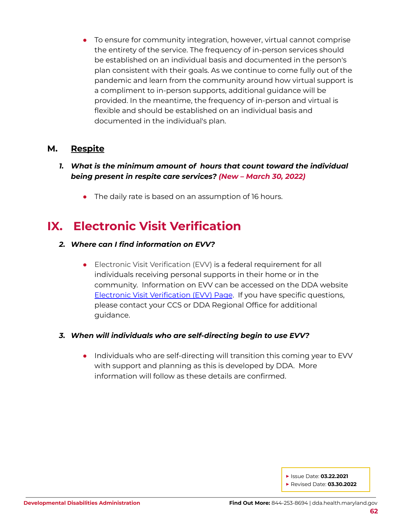• To ensure for community integration, however, virtual cannot comprise the entirety of the service. The frequency of in-person services should be established on an individual basis and documented in the person's plan consistent with their goals. As we continue to come fully out of the pandemic and learn from the community around how virtual support is a compliment to in-person supports, additional guidance will be provided. In the meantime, the frequency of in-person and virtual is flexible and should be established on an individual basis and documented in the individual's plan.

## **M. Respite**

- *1. What is the minimum amount of hours that count toward the individual being present in respite care services? (New – March 30, 2022)*
	- The daily rate is based on an assumption of 16 hours.

## <span id="page-61-0"></span>**IX. Electronic Visit Verification**

#### *2. Where can I find information on EVV?*

● Electronic Visit Verification (EVV) is a federal requirement for all individuals receiving personal supports in their home or in the community. Information on EVV can be accessed on the DDA website Electronic Visit [Verification](https://dda.health.maryland.gov/Pages/Electronic_Visit_Verification.aspx) (EVV) Page. If you have specific questions, please contact your CCS or DDA Regional Office for additional guidance.

#### *3. When will individuals who are self-directing begin to use EVV?*

• Individuals who are self-directing will transition this coming year to EVV with support and planning as this is developed by DDA. More information will follow as these details are confirmed.

**▶** Issue Date: **03.22.2021**